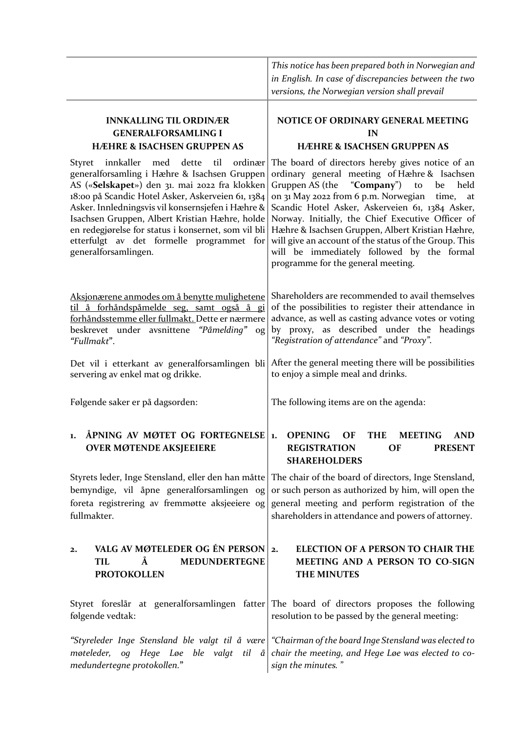|                                                                                                                                                                                                                                                                                                                                                                                                                                                       | This notice has been prepared both in Norwegian and<br>in English. In case of discrepancies between the two<br>versions, the Norwegian version shall prevail                                                                                                                                                                                                                                                                                                                                                          |  |
|-------------------------------------------------------------------------------------------------------------------------------------------------------------------------------------------------------------------------------------------------------------------------------------------------------------------------------------------------------------------------------------------------------------------------------------------------------|-----------------------------------------------------------------------------------------------------------------------------------------------------------------------------------------------------------------------------------------------------------------------------------------------------------------------------------------------------------------------------------------------------------------------------------------------------------------------------------------------------------------------|--|
| <b>INNKALLING TIL ORDINÆR</b><br><b>GENERALFORSAMLING I</b><br><b>HÆHRE &amp; ISACHSEN GRUPPEN AS</b>                                                                                                                                                                                                                                                                                                                                                 | NOTICE OF ORDINARY GENERAL MEETING<br>IN<br><b>HÆHRE &amp; ISACHSEN GRUPPEN AS</b>                                                                                                                                                                                                                                                                                                                                                                                                                                    |  |
| dette<br>til<br>ordinær<br><b>Styret</b><br>innkaller<br>med<br>generalforsamling i Hæhre & Isachsen Gruppen<br>AS («Selskapet») den 31. mai 2022 fra klokken<br>18:00 på Scandic Hotel Asker, Askerveien 61, 1384<br>Asker. Innledningsvis vil konsernsjefen i Hæhre &<br>Isachsen Gruppen, Albert Kristian Hæhre, holde<br>en redegjørelse for status i konsernet, som vil bli<br>etterfulgt av det formelle programmet for<br>generalforsamlingen. | The board of directors hereby gives notice of an<br>ordinary general meeting of Hæhre & Isachsen<br>Gruppen AS (the<br>"Company")<br>to<br>be<br>held<br>on 31 May 2022 from 6 p.m. Norwegian<br>time,<br>at<br>Scandic Hotel Asker, Askerveien 61, 1384 Asker,<br>Norway. Initially, the Chief Executive Officer of<br>Hæhre & Isachsen Gruppen, Albert Kristian Hæhre,<br>will give an account of the status of the Group. This<br>will be immediately followed by the formal<br>programme for the general meeting. |  |
| Aksjonærene anmodes om å benytte mulighetene<br>til å forhåndspåmelde seg, samt også å gi<br>forhåndsstemme eller fullmakt. Dette er nærmere<br>beskrevet under avsnittene<br>"Påmelding"<br>og<br>"Fullmakt".                                                                                                                                                                                                                                        | Shareholders are recommended to avail themselves<br>of the possibilities to register their attendance in<br>advance, as well as casting advance votes or voting<br>by proxy, as described under the headings<br>"Registration of attendance" and "Proxy".                                                                                                                                                                                                                                                             |  |
| Det vil i etterkant av generalforsamlingen bli<br>servering av enkel mat og drikke.                                                                                                                                                                                                                                                                                                                                                                   | After the general meeting there will be possibilities<br>to enjoy a simple meal and drinks.                                                                                                                                                                                                                                                                                                                                                                                                                           |  |
| Følgende saker er på dagsorden:                                                                                                                                                                                                                                                                                                                                                                                                                       | The following items are on the agenda:                                                                                                                                                                                                                                                                                                                                                                                                                                                                                |  |
| ÅPNING AV MØTET OG FORTEGNELSE<br>1.<br><b>OVER MØTENDE AKSJEEIERE</b>                                                                                                                                                                                                                                                                                                                                                                                | <b>OPENING</b><br>OF<br><b>MEETING</b><br><b>AND</b><br><b>THE</b><br>$\mathbf{1}$ .<br><b>REGISTRATION</b><br><b>PRESENT</b><br>OF<br><b>SHAREHOLDERS</b>                                                                                                                                                                                                                                                                                                                                                            |  |
| Styrets leder, Inge Stensland, eller den han måtte<br>bemyndige, vil åpne generalforsamlingen og<br>foreta registrering av fremmøtte aksjeeiere og<br>fullmakter.                                                                                                                                                                                                                                                                                     | The chair of the board of directors, Inge Stensland,<br>or such person as authorized by him, will open the<br>general meeting and perform registration of the<br>shareholders in attendance and powers of attorney.                                                                                                                                                                                                                                                                                                   |  |
| VALG AV MØTELEDER OG ÉN PERSON<br>$\mathbf{2}$<br>Å<br>MEDUNDERTEGNE<br><b>TIL</b><br><b>PROTOKOLLEN</b>                                                                                                                                                                                                                                                                                                                                              | <b>ELECTION OF A PERSON TO CHAIR THE</b><br>2.<br>MEETING AND A PERSON TO CO-SIGN<br>THE MINUTES                                                                                                                                                                                                                                                                                                                                                                                                                      |  |
| følgende vedtak:                                                                                                                                                                                                                                                                                                                                                                                                                                      | Styret foreslår at generalforsamlingen fatter The board of directors proposes the following<br>resolution to be passed by the general meeting:                                                                                                                                                                                                                                                                                                                                                                        |  |
| "Styreleder Inge Stensland ble valgt til å være <br>møteleder,<br>og<br>Hege Løe ble valgt til<br>å<br>medundertegne protokollen."                                                                                                                                                                                                                                                                                                                    | "Chairman of the board Inge Stensland was elected to<br>chair the meeting, and Hege Loe was elected to co-<br>sign the minutes."                                                                                                                                                                                                                                                                                                                                                                                      |  |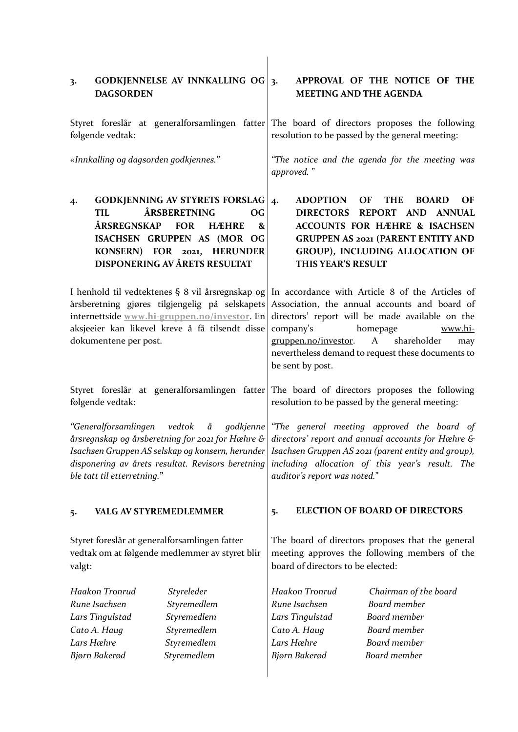| GODKJENNELSE AV INNKALLING OG<br>3.<br><b>DAGSORDEN</b>                                                                                                                                                                                 | APPROVAL OF THE NOTICE OF THE<br>$\overline{3}$ .<br><b>MEETING AND THE AGENDA</b>                                                                                                                                                                                                                                   |  |  |
|-----------------------------------------------------------------------------------------------------------------------------------------------------------------------------------------------------------------------------------------|----------------------------------------------------------------------------------------------------------------------------------------------------------------------------------------------------------------------------------------------------------------------------------------------------------------------|--|--|
| følgende vedtak:                                                                                                                                                                                                                        | Styret foreslår at generalforsamlingen fatter The board of directors proposes the following<br>resolution to be passed by the general meeting:                                                                                                                                                                       |  |  |
| «Innkalling og dagsorden godkjennes."                                                                                                                                                                                                   | "The notice and the agenda for the meeting was<br>approved."                                                                                                                                                                                                                                                         |  |  |
| <b>GODKJENNING AV STYRETS FORSLAG</b><br>4·<br>ÅRSBERETNING<br>TIL<br><b>OG</b><br>ÅRSREGNSKAP<br><b>FOR</b><br><b>HÆHRE</b><br>&<br>ISACHSEN GRUPPEN AS (MOR OG<br>KONSERN) FOR 2021, HERUNDER<br><b>DISPONERING AV ÅRETS RESULTAT</b> | <b>ADOPTION</b><br>OF<br><b>THE</b><br><b>BOARD</b><br>OF<br>4.<br><b>DIRECTORS</b><br><b>REPORT</b><br><b>AND</b><br><b>ANNUAL</b><br><b>ACCOUNTS FOR HÆHRE &amp; ISACHSEN</b><br><b>GRUPPEN AS 2021 (PARENT ENTITY AND</b><br>GROUP), INCLUDING ALLOCATION OF<br>THIS YEAR'S RESULT                                |  |  |
| I henhold til vedtektenes § 8 vil årsregnskap og<br>årsberetning gjøres tilgjengelig på selskapets<br>internettside www.hi-gruppen.no/investor. En<br>aksjeeier kan likevel kreve å få tilsendt disse<br>dokumentene per post.          | In accordance with Article 8 of the Articles of<br>Association, the annual accounts and board of<br>directors' report will be made available on the<br>company's<br>homepage<br>www.hi-<br>A<br>shareholder<br>gruppen.no/investor.<br>may<br>nevertheless demand to request these documents to<br>be sent by post.  |  |  |
| følgende vedtak:                                                                                                                                                                                                                        | Styret foreslår at generalforsamlingen fatter The board of directors proposes the following<br>resolution to be passed by the general meeting:                                                                                                                                                                       |  |  |
| "Generalforsamlingen<br>Isachsen Gruppen AS selskap og konsern, herunder<br>disponering av årets resultat. Revisors beretning<br>ble tatt til etterretning."                                                                            | vedtok å godkjenne "The general meeting approved the board of<br>årsregnskap og årsberetning for 2021 for Hæhre & $\mid$ directors' report and annual accounts for Hæhre &<br>Isachsen Gruppen AS 2021 (parent entity and group),<br>including allocation of this year's result. The<br>auditor's report was noted." |  |  |
| <b>VALG AV STYREMEDLEMMER</b><br>5.                                                                                                                                                                                                     | <b>ELECTION OF BOARD OF DIRECTORS</b><br>5.                                                                                                                                                                                                                                                                          |  |  |
| Styret foreslår at generalforsamlingen fatter<br>vedtak om at følgende medlemmer av styret blir<br>valgt:                                                                                                                               | The board of directors proposes that the general<br>meeting approves the following members of the<br>board of directors to be elected:                                                                                                                                                                               |  |  |
| Haakon Tronrud<br>Styreleder<br>Rune Isachsen<br>Styremedlem<br>Styremedlem<br>Lars Tingulstad<br>Cato A. Haug<br>Styremedlem<br>Lars Hæhre<br>Styremedlem<br>Styremedlem<br>Bjørn Bakerød                                              | Haakon Tronrud<br>Chairman of the board<br><b>Board</b> member<br>Rune Isachsen<br>Lars Tingulstad<br>Board member<br>Board member<br>Cato A. Haug<br>Lars Hæhre<br><b>Board</b> member<br>Board member<br>Bjørn Bakerød                                                                                             |  |  |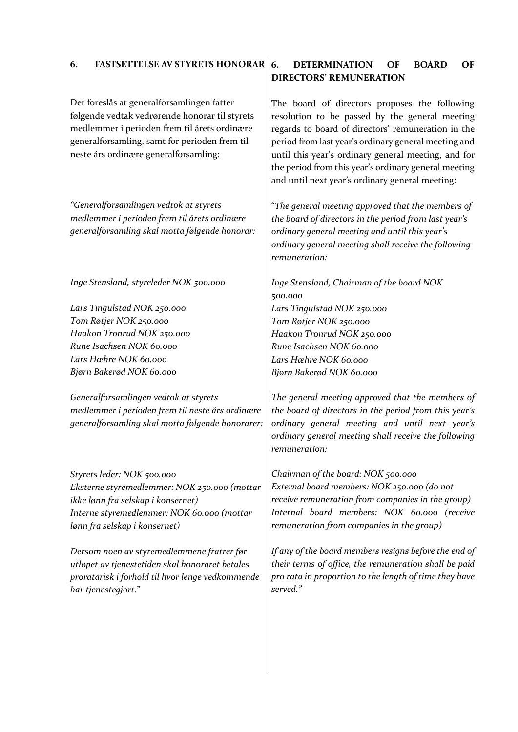# **6. FASTSETTELSE AV STYRETS HONORAR**

Det foreslås at generalforsamlingen fatter følgende vedtak vedrørende honorar til styrets medlemmer i perioden frem til årets ordinære generalforsamling, samt for perioden frem til neste års ordinære generalforsamling:

*"Generalforsamlingen vedtok at styrets medlemmer i perioden frem til årets ordinære generalforsamling skal motta følgende honorar:* 

*Inge Stensland, styreleder NOK 500.000*

*Lars Tingulstad NOK 250.000 Tom Røtjer NOK 250.000 Haakon Tronrud NOK 250.000 Rune Isachsen NOK 60.000 Lars Hæhre NOK 60.000 Bjørn Bakerød NOK 60.000*

*Generalforsamlingen vedtok at styrets medlemmer i perioden frem til neste års ordinære generalforsamling skal motta følgende honorarer:* 

*Styrets leder: NOK 500.000 Eksterne styremedlemmer: NOK 250.000 (mottar ikke lønn fra selskap i konsernet) Interne styremedlemmer: NOK 60.000 (mottar lønn fra selskap i konsernet)*

*Dersom noen av styremedlemmene fratrer før utløpet av tjenestetiden skal honoraret betales proratarisk i forhold til hvor lenge vedkommende har tjenestegjort.***"**

# **6. DETERMINATION OF BOARD OF DIRECTORS' REMUNERATION**

The board of directors proposes the following resolution to be passed by the general meeting regards to board of directors' remuneration in the period from last year's ordinary general meeting and until this year's ordinary general meeting, and for the period from this year's ordinary general meeting and until next year's ordinary general meeting:

"*The general meeting approved that the members of the board of directors in the period from last year's ordinary general meeting and until this year's ordinary general meeting shall receive the following remuneration:*

*Inge Stensland, Chairman of the board NOK 500.000 Lars Tingulstad NOK 250.000 Tom Røtjer NOK 250.000 Haakon Tronrud NOK 250.000 Rune Isachsen NOK 60.000 Lars Hæhre NOK 60.000 Bjørn Bakerød NOK 60.000*

*The general meeting approved that the members of the board of directors in the period from this year's ordinary general meeting and until next year's ordinary general meeting shall receive the following remuneration:*

*Chairman of the board: NOK 500.000 External board members: NOK 250.000 (do not receive remuneration from companies in the group) Internal board members: NOK 60.000 (receive remuneration from companies in the group)*

*If any of the board members resigns before the end of their terms of office, the remuneration shall be paid pro rata in proportion to the length of time they have served."*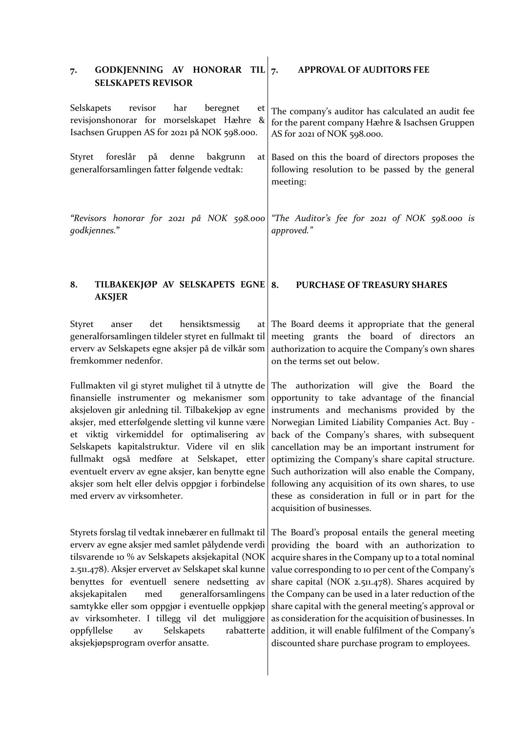| GODKJENNING AV HONORAR TIL $_7$ .<br>7.<br><b>SELSKAPETS REVISOR</b>                                                                                                                                                                                                                                                                                                                                                                                                                                           | <b>APPROVAL OF AUDITORS FEE</b>                                                                                                                                                                                                                                                                                                                                                                                                                                                                                                                         |
|----------------------------------------------------------------------------------------------------------------------------------------------------------------------------------------------------------------------------------------------------------------------------------------------------------------------------------------------------------------------------------------------------------------------------------------------------------------------------------------------------------------|---------------------------------------------------------------------------------------------------------------------------------------------------------------------------------------------------------------------------------------------------------------------------------------------------------------------------------------------------------------------------------------------------------------------------------------------------------------------------------------------------------------------------------------------------------|
| Selskapets<br>revisor<br>har<br>beregnet<br>et<br>revisjonshonorar for morselskapet Hæhre<br>$\boldsymbol{\alpha}$<br>Isachsen Gruppen AS for 2021 på NOK 598.000.                                                                                                                                                                                                                                                                                                                                             | The company's auditor has calculated an audit fee<br>for the parent company Hæhre & Isachsen Gruppen<br>AS for 2021 of NOK 598.000.                                                                                                                                                                                                                                                                                                                                                                                                                     |
| foreslår<br>Styret<br>på<br>denne<br>bakgrunn<br>generalforsamlingen fatter følgende vedtak:                                                                                                                                                                                                                                                                                                                                                                                                                   | at Based on this the board of directors proposes the<br>following resolution to be passed by the general<br>meeting:                                                                                                                                                                                                                                                                                                                                                                                                                                    |
| "Revisors honorar for 2021 på NOK 598.000<br>godkjennes."                                                                                                                                                                                                                                                                                                                                                                                                                                                      | "The Auditor's fee for 2021 of NOK 598.000 is<br>approved."                                                                                                                                                                                                                                                                                                                                                                                                                                                                                             |
| TILBAKEKJØP AV SELSKAPETS EGNE<br>8.<br><b>AKSJER</b>                                                                                                                                                                                                                                                                                                                                                                                                                                                          | PURCHASE OF TREASURY SHARES<br>8.                                                                                                                                                                                                                                                                                                                                                                                                                                                                                                                       |
| <b>Styret</b><br>det<br>hensiktsmessig<br>anser<br>at<br>generalforsamlingen tildeler styret en fullmakt til<br>erverv av Selskapets egne aksjer på de vilkår som<br>fremkommer nedenfor.                                                                                                                                                                                                                                                                                                                      | The Board deems it appropriate that the general<br>meeting grants the board of directors an<br>authorization to acquire the Company's own shares<br>on the terms set out below.                                                                                                                                                                                                                                                                                                                                                                         |
| Fullmakten vil gi styret mulighet til å utnytte de<br>finansielle instrumenter og mekanismer som<br>aksjeloven gir anledning til. Tilbakekjøp av egne<br>aksjer, med etterfølgende sletting vil kunne være<br>et viktig virkemiddel for optimalisering av<br>Selskapets kapitalstruktur. Videre vil en slik<br>fullmakt også medføre at Selskapet, etter<br>eventuelt erverv av egne aksjer, kan benytte egne<br>aksjer som helt eller delvis oppgjør i forbindelse<br>med erverv av virksomheter.             | The authorization will give the Board the<br>opportunity to take advantage of the financial<br>instruments and mechanisms provided by the<br>Norwegian Limited Liability Companies Act. Buy -<br>back of the Company's shares, with subsequent<br>cancellation may be an important instrument for<br>optimizing the Company's share capital structure.<br>Such authorization will also enable the Company,<br>following any acquisition of its own shares, to use<br>these as consideration in full or in part for the<br>acquisition of businesses.    |
| Styrets forslag til vedtak innebærer en fullmakt til<br>erverv av egne aksjer med samlet pålydende verdi<br>tilsvarende 10 % av Selskapets aksjekapital (NOK<br>2.511.478). Aksjer ervervet av Selskapet skal kunne<br>benyttes for eventuell senere nedsetting av<br>aksjekapitalen<br>med<br>generalforsamlingens<br>samtykke eller som oppgjør i eventuelle oppkjøp<br>av virksomheter. I tillegg vil det muliggjøre<br>oppfyllelse<br>Selskapets<br>rabatterte<br>av<br>aksjekjøpsprogram overfor ansatte. | The Board's proposal entails the general meeting<br>providing the board with an authorization to<br>acquire shares in the Company up to a total nominal<br>value corresponding to 10 per cent of the Company's<br>share capital (NOK 2.511.478). Shares acquired by<br>the Company can be used in a later reduction of the<br>share capital with the general meeting's approval or<br>as consideration for the acquisition of businesses. In<br>addition, it will enable fulfilment of the Company's<br>discounted share purchase program to employees. |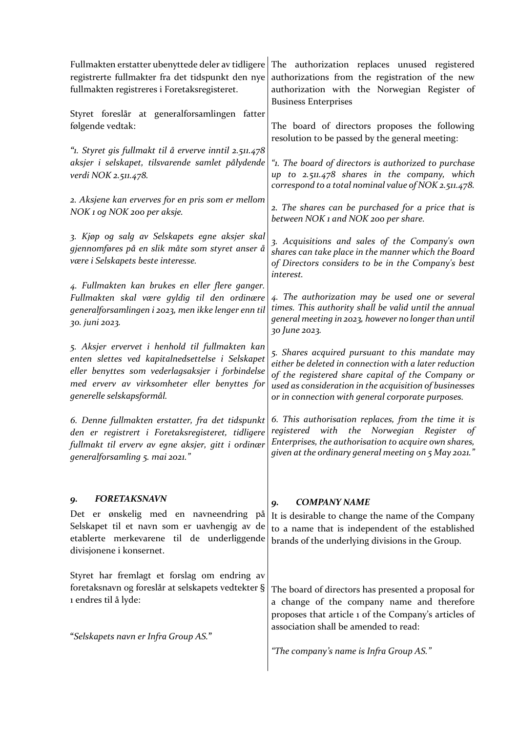| Fullmakten erstatter ubenyttede deler av tidligere<br>registrerte fullmakter fra det tidspunkt den nye<br>fullmakten registreres i Foretaksregisteret.                                         | The authorization replaces unused registered<br>authorizations from the registration of the new<br>authorization with the Norwegian Register of<br><b>Business Enterprises</b>                                                           |  |
|------------------------------------------------------------------------------------------------------------------------------------------------------------------------------------------------|------------------------------------------------------------------------------------------------------------------------------------------------------------------------------------------------------------------------------------------|--|
| Styret foreslår at generalforsamlingen fatter                                                                                                                                                  | The board of directors proposes the following                                                                                                                                                                                            |  |
| følgende vedtak:                                                                                                                                                                               | resolution to be passed by the general meeting:                                                                                                                                                                                          |  |
| "1. Styret gis fullmakt til å erverve inntil 2.511.478                                                                                                                                         | "1. The board of directors is authorized to purchase                                                                                                                                                                                     |  |
| aksjer i selskapet, tilsvarende samlet pålydende                                                                                                                                               | up to 2.511.478 shares in the company, which                                                                                                                                                                                             |  |
| verdi NOK 2.511.478.                                                                                                                                                                           | correspond to a total nominal value of NOK 2.511.478.                                                                                                                                                                                    |  |
| 2. Aksjene kan erverves for en pris som er mellom                                                                                                                                              | 2. The shares can be purchased for a price that is                                                                                                                                                                                       |  |
| NOK 1 og NOK 200 per aksje.                                                                                                                                                                    | between NOK 1 and NOK 200 per share.                                                                                                                                                                                                     |  |
| 3. Kjøp og salg av Selskapets egne aksjer skal<br>gjennomføres på en slik måte som styret anser å<br>være i Selskapets beste interesse.                                                        | 3. Acquisitions and sales of the Company's own<br>shares can take place in the manner which the Board<br>of Directors considers to be in the Company's best<br>interest.                                                                 |  |
| 4. Fullmakten kan brukes en eller flere ganger.                                                                                                                                                | 4. The authorization may be used one or several                                                                                                                                                                                          |  |
| Fullmakten skal være gyldig til den ordinære                                                                                                                                                   | times. This authority shall be valid until the annual                                                                                                                                                                                    |  |
| generalforsamlingen i 2023, men ikke lenger enn til                                                                                                                                            | general meeting in 2023, however no longer than until                                                                                                                                                                                    |  |
| 30. juni 2023.                                                                                                                                                                                 | 30 June 2023.                                                                                                                                                                                                                            |  |
| 5. Aksjer ervervet i henhold til fullmakten kan                                                                                                                                                | 5. Shares acquired pursuant to this mandate may                                                                                                                                                                                          |  |
| enten slettes ved kapitalnedsettelse i Selskapet                                                                                                                                               | either be deleted in connection with a later reduction                                                                                                                                                                                   |  |
| eller benyttes som vederlagsaksjer i forbindelse                                                                                                                                               | of the registered share capital of the Company or                                                                                                                                                                                        |  |
| med erverv av virksomheter eller benyttes for                                                                                                                                                  | used as consideration in the acquisition of businesses                                                                                                                                                                                   |  |
| generelle selskapsformål.                                                                                                                                                                      | or in connection with general corporate purposes.                                                                                                                                                                                        |  |
| 6. Denne fullmakten erstatter, fra det tidspunkt<br>den er registrert i Foretaksregisteret, tidligere<br>fullmakt til erverv av egne aksjer, gitt i ordinær<br>generalforsamling 5. mai 2021." | 6. This authorisation replaces, from the time it is<br>the Norwegian<br>with<br>Register<br>registered<br>$\sigma f$<br>Enterprises, the authorisation to acquire own shares,<br>given at the ordinary general meeting on $5$ May 2021." |  |
| <b>FORETAKSNAVN</b><br>9.<br>Det er ønskelig med en navneendring på<br>Selskapet til et navn som er uavhengig av de<br>etablerte merkevarene til de underliggende<br>divisjonene i konsernet.  | <b>COMPANY NAME</b><br>9.<br>It is desirable to change the name of the Company<br>to a name that is independent of the established<br>brands of the underlying divisions in the Group.                                                   |  |
| Styret har fremlagt et forslag om endring av                                                                                                                                                   | The board of directors has presented a proposal for                                                                                                                                                                                      |  |
| foretaksnavn og foreslår at selskapets vedtekter §                                                                                                                                             | a change of the company name and therefore                                                                                                                                                                                               |  |
| 1 endres til å lyde:                                                                                                                                                                           | proposes that article 1 of the Company's articles of                                                                                                                                                                                     |  |
| "Selskapets navn er Infra Group AS."                                                                                                                                                           | association shall be amended to read:<br>"The company's name is Infra Group AS."                                                                                                                                                         |  |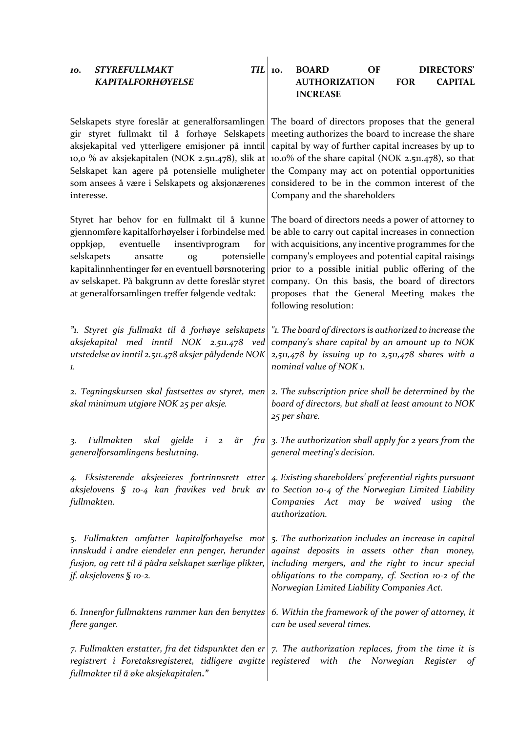| <b>STYREFULLMAKT</b><br><b>TIL</b><br>10.<br><b>KAPITALFORHØYELSE</b>                                                                                                                                                                                                                                                                                            | <b>DIRECTORS'</b><br><b>BOARD</b><br>OF<br>10.<br><b>FOR</b><br><b>CAPITAL</b><br><b>AUTHORIZATION</b>                                                                                                                                                                                                                                                                                                   |  |  |
|------------------------------------------------------------------------------------------------------------------------------------------------------------------------------------------------------------------------------------------------------------------------------------------------------------------------------------------------------------------|----------------------------------------------------------------------------------------------------------------------------------------------------------------------------------------------------------------------------------------------------------------------------------------------------------------------------------------------------------------------------------------------------------|--|--|
|                                                                                                                                                                                                                                                                                                                                                                  | <b>INCREASE</b>                                                                                                                                                                                                                                                                                                                                                                                          |  |  |
| Selskapets styre foreslår at generalforsamlingen<br>gir styret fullmakt til å forhøye Selskapets<br>aksjekapital ved ytterligere emisjoner på inntil<br>10,0 % av aksjekapitalen (NOK 2.511.478), slik at<br>Selskapet kan agere på potensielle muligheter<br>som ansees å være i Selskapets og aksjonærenes<br>interesse.                                       | The board of directors proposes that the general<br>meeting authorizes the board to increase the share<br>capital by way of further capital increases by up to<br>10.0% of the share capital (NOK 2.511.478), so that<br>the Company may act on potential opportunities<br>considered to be in the common interest of the<br>Company and the shareholders                                                |  |  |
| Styret har behov for en fullmakt til å kunne<br>gjennomføre kapitalforhøyelser i forbindelse med<br>eventuelle<br>insentivprogram<br>oppkjøp,<br>for<br>potensielle<br>selskapets<br>ansatte<br>og<br>kapitalinnhentinger før en eventuell børsnotering<br>av selskapet. På bakgrunn av dette foreslår styret<br>at generalforsamlingen treffer følgende vedtak: | The board of directors needs a power of attorney to<br>be able to carry out capital increases in connection<br>with acquisitions, any incentive programmes for the<br>company's employees and potential capital raisings<br>prior to a possible initial public offering of the<br>company. On this basis, the board of directors<br>proposes that the General Meeting makes the<br>following resolution: |  |  |
| "1. Styret gis fullmakt til å forhøye selskapets<br>aksjekapital med inntil NOK 2.511.478 ved<br>utstedelse av inntil 2.511.478 aksjer pålydende NOK<br>1.                                                                                                                                                                                                       | "1. The board of directors is authorized to increase the<br>company's share capital by an amount up to NOK<br>$2,511,478$ by issuing up to $2,511,478$ shares with a<br>nominal value of NOK 1.                                                                                                                                                                                                          |  |  |
| 2. Tegningskursen skal fastsettes av styret, men<br>skal minimum utgjøre NOK 25 per aksje.                                                                                                                                                                                                                                                                       | 2. The subscription price shall be determined by the<br>board of directors, but shall at least amount to NOK<br>25 per share.                                                                                                                                                                                                                                                                            |  |  |
| skal gjelde<br>Fullmakten<br>$i\quad 2$<br>$\ddot{ }$<br>generalforsamlingens beslutning.                                                                                                                                                                                                                                                                        | $\alpha$ fra 3. The authorization shall apply for 2 years from the<br>general meeting's decision.                                                                                                                                                                                                                                                                                                        |  |  |
| 4. Eksisterende aksjeeieres fortrinnsrett etter<br>aksjelovens § 10-4 kan fravikes ved bruk av<br>fullmakten.                                                                                                                                                                                                                                                    | 4. Existing shareholders' preferential rights pursuant<br>to Section 10-4 of the Norwegian Limited Liability<br>Companies Act may be waived<br>using<br>the<br>authorization.                                                                                                                                                                                                                            |  |  |
| 5. Fullmakten omfatter kapitalforhøyelse mot<br>innskudd i andre eiendeler enn penger, herunder<br>fusjon, og rett til å pådra selskapet særlige plikter,<br>jf. aksjelovens $\S$ 10-2.                                                                                                                                                                          | 5. The authorization includes an increase in capital<br>against deposits in assets other than money,<br>including mergers, and the right to incur special<br>obligations to the company, cf. Section 10-2 of the<br>Norwegian Limited Liability Companies Act.                                                                                                                                           |  |  |
| 6. Innenfor fullmaktens rammer kan den benyttes<br>flere ganger.                                                                                                                                                                                                                                                                                                 | 6. Within the framework of the power of attorney, it<br>can be used several times.                                                                                                                                                                                                                                                                                                                       |  |  |
| 7. Fullmakten erstatter, fra det tidspunktet den er<br>registrert i Foretaksregisteret, tidligere avgitte registered with<br>fullmakter til å øke aksjekapitalen."                                                                                                                                                                                               | 7. The authorization replaces, from the time it is<br>the Norwegian<br>Register<br>of                                                                                                                                                                                                                                                                                                                    |  |  |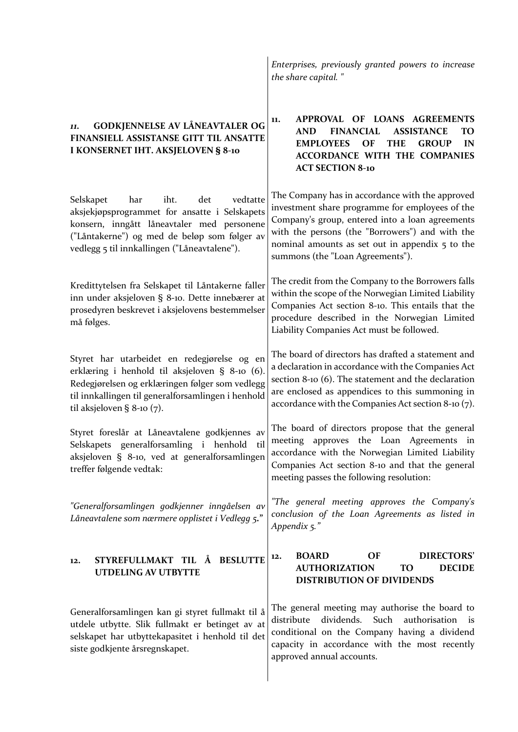| <b>GODKJENNELSE AV LÅNEAVTALER OG</b><br>11.<br>FINANSIELL ASSISTANSE GITT TIL ANSATTE<br>I KONSERNET IHT. AKSJELOVEN § 8-10                                                                                                               | APPROVAL OF LOANS AGREEMENTS<br>11.<br><b>ASSISTANCE</b><br><b>AND</b><br><b>FINANCIAL</b><br>TО<br><b>THE</b><br><b>EMPLOYEES</b><br>OF<br><b>GROUP</b><br>IN<br><b>ACCORDANCE WITH THE COMPANIES</b><br><b>ACT SECTION 8-10</b>                                                               |  |
|--------------------------------------------------------------------------------------------------------------------------------------------------------------------------------------------------------------------------------------------|-------------------------------------------------------------------------------------------------------------------------------------------------------------------------------------------------------------------------------------------------------------------------------------------------|--|
| iht.<br>det<br>vedtatte<br>Selskapet<br>har<br>aksjekjøpsprogrammet for ansatte i Selskapets<br>konsern, inngått låneavtaler med personene<br>("Låntakerne") og med de beløp som følger av<br>vedlegg 5 til innkallingen ("Låneavtalene"). | The Company has in accordance with the approved<br>investment share programme for employees of the<br>Company's group, entered into a loan agreements<br>with the persons (the "Borrowers") and with the<br>nominal amounts as set out in appendix 5 to the<br>summons (the "Loan Agreements"). |  |
| Kredittytelsen fra Selskapet til Låntakerne faller<br>inn under aksjeloven § 8-10. Dette innebærer at<br>prosedyren beskrevet i aksjelovens bestemmelser<br>må følges.                                                                     | The credit from the Company to the Borrowers falls<br>within the scope of the Norwegian Limited Liability<br>Companies Act section 8-10. This entails that the<br>procedure described in the Norwegian Limited<br>Liability Companies Act must be followed.                                     |  |
| Styret har utarbeidet en redegjørelse og en<br>erklæring i henhold til aksjeloven § 8-10 (6).<br>Redegjørelsen og erklæringen følger som vedlegg<br>til innkallingen til generalforsamlingen i henhold<br>til aksjeloven § 8-10 (7).       | The board of directors has drafted a statement and<br>a declaration in accordance with the Companies Act<br>section 8-10 (6). The statement and the declaration<br>are enclosed as appendices to this summoning in<br>accordance with the Companies Act section 8-10 (7).                       |  |
| Styret foreslår at Låneavtalene godkjennes av<br>Selskapets generalforsamling i henhold<br>til<br>aksjeloven § 8-10, ved at generalforsamlingen<br>treffer følgende vedtak:                                                                | The board of directors propose that the general<br>meeting approves the Loan Agreements in<br>accordance with the Norwegian Limited Liability<br>Companies Act section 8-10 and that the general<br>meeting passes the following resolution:                                                    |  |
| "Generalforsamlingen godkjenner inngåelsen av<br>Låneavtalene som nærmere opplistet i Vedlegg 5."                                                                                                                                          | "The general meeting approves the Company's<br>conclusion of the Loan Agreements as listed in<br>Appendix 5."                                                                                                                                                                                   |  |
| STYREFULLMAKT TIL Å BESLUTTE<br>12.<br>UTDELING AV UTBYTTE                                                                                                                                                                                 | <b>BOARD</b><br><b>DIRECTORS'</b><br>ΟF<br>12.<br><b>AUTHORIZATION</b><br><b>TO</b><br><b>DECIDE</b><br><b>DISTRIBUTION OF DIVIDENDS</b>                                                                                                                                                        |  |
| Generalforsamlingen kan gi styret fullmakt til å<br>utdele utbytte. Slik fullmakt er betinget av at<br>selskapet har utbyttekapasitet i henhold til det<br>siste godkjente årsregnskapet.                                                  | The general meeting may authorise the board to<br>dividends.<br>Such<br>distribute<br>authorisation<br>is<br>conditional on the Company having a dividend<br>capacity in accordance with the most recently<br>approved annual accounts.                                                         |  |

*Enterprises, previously granted powers to increase* 

*the share capital. "*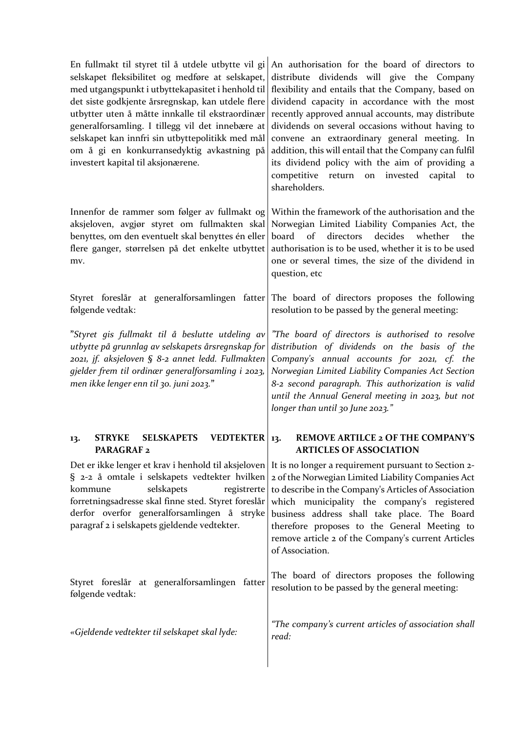| selskapet fleksibilitet og medføre at selskapet,<br>det siste godkjente årsregnskap, kan utdele flere<br>utbytter uten å måtte innkalle til ekstraordinær<br>generalforsamling. I tillegg vil det innebære at<br>selskapet kan innfri sin utbyttepolitikk med mål<br>om å gi en konkurransedyktig avkastning på<br>investert kapital til aksjonærene. | En fullmakt til styret til å utdele utbytte vil gi An authorisation for the board of directors to<br>distribute dividends will give the Company<br>med utgangspunkt i utbyttekapasitet i henhold til flexibility and entails that the Company, based on<br>dividend capacity in accordance with the most<br>recently approved annual accounts, may distribute<br>dividends on several occasions without having to<br>convene an extraordinary general meeting. In<br>addition, this will entail that the Company can fulfil<br>its dividend policy with the aim of providing a<br>competitive return<br>on invested capital<br>to<br>shareholders. |  |
|-------------------------------------------------------------------------------------------------------------------------------------------------------------------------------------------------------------------------------------------------------------------------------------------------------------------------------------------------------|----------------------------------------------------------------------------------------------------------------------------------------------------------------------------------------------------------------------------------------------------------------------------------------------------------------------------------------------------------------------------------------------------------------------------------------------------------------------------------------------------------------------------------------------------------------------------------------------------------------------------------------------------|--|
| Innenfor de rammer som følger av fullmakt og<br>aksjeloven, avgjør styret om fullmakten skal<br>benyttes, om den eventuelt skal benyttes én eller<br>flere ganger, størrelsen på det enkelte utbyttet<br>mv.                                                                                                                                          | Within the framework of the authorisation and the<br>Norwegian Limited Liability Companies Act, the<br>board of<br>directors<br>decides<br>whether<br>the<br>authorisation is to be used, whether it is to be used<br>one or several times, the size of the dividend in<br>question, etc                                                                                                                                                                                                                                                                                                                                                           |  |
| følgende vedtak:                                                                                                                                                                                                                                                                                                                                      | Styret foreslår at generalforsamlingen fatter The board of directors proposes the following<br>resolution to be passed by the general meeting:                                                                                                                                                                                                                                                                                                                                                                                                                                                                                                     |  |
| "Styret gis fullmakt til å beslutte utdeling av<br>utbytte på grunnlag av selskapets årsregnskap for<br>2021, jf. aksjeloven § 8-2 annet ledd. Fullmakten<br>gjelder frem til ordinær generalforsamling i 2023,<br>men ikke lenger enn til 30. juni 2023."                                                                                            | "The board of directors is authorised to resolve<br>distribution of dividends on the basis of the<br>Company's annual accounts for 2021, cf. the<br>Norwegian Limited Liability Companies Act Section<br>8-2 second paragraph. This authorization is valid<br>until the Annual General meeting in 2023, but not<br>longer than until 30 June 2023."                                                                                                                                                                                                                                                                                                |  |
| <b>SELSKAPETS</b><br><b>STRYKE</b><br>VEDTEKTER 13.<br>13.<br>PARAGRAF <sub>2</sub>                                                                                                                                                                                                                                                                   | <b>REMOVE ARTILCE 2 OF THE COMPANY'S</b><br><b>ARTICLES OF ASSOCIATION</b>                                                                                                                                                                                                                                                                                                                                                                                                                                                                                                                                                                         |  |
| selskapets<br>kommune<br>forretningsadresse skal finne sted. Styret foreslår<br>derfor overfor generalforsamlingen å stryke<br>paragraf 2 i selskapets gjeldende vedtekter.                                                                                                                                                                           | Det er ikke lenger et krav i henhold til aksjeloven It is no longer a requirement pursuant to Section 2-<br>$\S$ 2-2 å omtale i selskapets vedtekter hvilken 2 of the Norwegian Limited Liability Companies Act<br>registrerte to describe in the Company's Articles of Association<br>which municipality the company's registered<br>business address shall take place. The Board<br>therefore proposes to the General Meeting to<br>remove article 2 of the Company's current Articles<br>of Association.                                                                                                                                        |  |
| Styret foreslår at generalforsamlingen fatter<br>følgende vedtak:                                                                                                                                                                                                                                                                                     | The board of directors proposes the following<br>resolution to be passed by the general meeting:                                                                                                                                                                                                                                                                                                                                                                                                                                                                                                                                                   |  |
| «Gjeldende vedtekter til selskapet skal lyde:                                                                                                                                                                                                                                                                                                         | "The company's current articles of association shall<br>read:                                                                                                                                                                                                                                                                                                                                                                                                                                                                                                                                                                                      |  |
|                                                                                                                                                                                                                                                                                                                                                       |                                                                                                                                                                                                                                                                                                                                                                                                                                                                                                                                                                                                                                                    |  |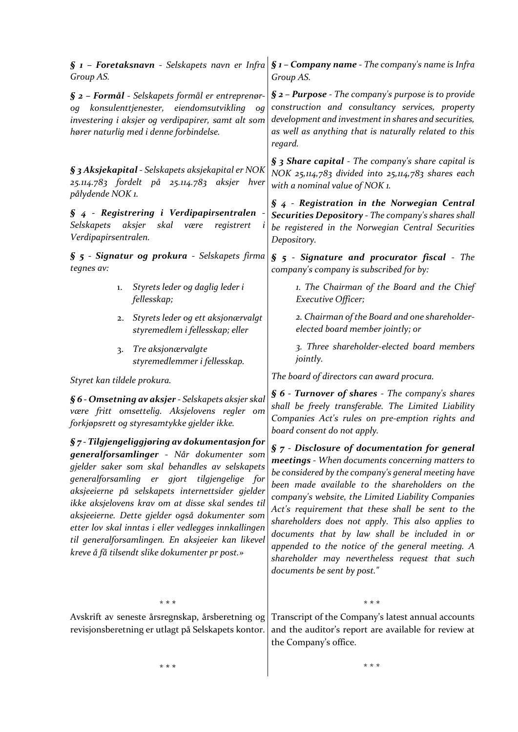| $\S$ 1 - Foretaksnavn - Selskapets navn er Infra<br>Group AS.                                                                                                                                                                                                                                                                                                                                                                                                                                                                | $\S$ 1 – Company name - The company's name is Infra<br>Group AS.                                                                                                                                                                                                                                                                                                                                                                                                                                                                                                     |  |
|------------------------------------------------------------------------------------------------------------------------------------------------------------------------------------------------------------------------------------------------------------------------------------------------------------------------------------------------------------------------------------------------------------------------------------------------------------------------------------------------------------------------------|----------------------------------------------------------------------------------------------------------------------------------------------------------------------------------------------------------------------------------------------------------------------------------------------------------------------------------------------------------------------------------------------------------------------------------------------------------------------------------------------------------------------------------------------------------------------|--|
| $\S$ 2 – Formål - Selskapets formål er entreprenør-<br>konsulenttjenester,<br>eiendomsutvikling<br>oq<br>0q<br>investering i aksjer og verdipapirer, samt alt som<br>hører naturlig med i denne forbindelse.                                                                                                                                                                                                                                                                                                                 | $\S$ 2 – Purpose - The company's purpose is to provide<br>construction and consultancy services, property<br>development and investment in shares and securities,<br>as well as anything that is naturally related to this<br>regard.                                                                                                                                                                                                                                                                                                                                |  |
| § 3 Aksjekapital - Selskapets aksjekapital er NOK<br>25.114.783 fordelt på 25.114.783 aksjer hver<br>pålydende NOK 1.                                                                                                                                                                                                                                                                                                                                                                                                        | <b>§ 3 Share capital</b> - The company's share capital is<br>NOK 25,114,783 divided into 25,114,783 shares each<br>with a nominal value of NOK 1.                                                                                                                                                                                                                                                                                                                                                                                                                    |  |
| $\S$ 4 - Registrering i Verdipapirsentralen<br>aksjer<br>skal<br>Selskapets<br>være<br>registrert<br>Verdipapirsentralen.                                                                                                                                                                                                                                                                                                                                                                                                    | $\S$ 4 - Registration in the Norwegian Central<br>Securities Depository - The company's shares shall<br>be registered in the Norwegian Central Securities<br>Depository.                                                                                                                                                                                                                                                                                                                                                                                             |  |
| § 5 - Signatur og prokura - Selskapets firma<br>tegnes av:                                                                                                                                                                                                                                                                                                                                                                                                                                                                   | $\S$ 5 - Signature and procurator fiscal - The<br>company's company is subscribed for by:                                                                                                                                                                                                                                                                                                                                                                                                                                                                            |  |
| Styrets leder og daglig leder i<br>1.<br>fellesskap;                                                                                                                                                                                                                                                                                                                                                                                                                                                                         | 1. The Chairman of the Board and the Chief<br>Executive Officer;                                                                                                                                                                                                                                                                                                                                                                                                                                                                                                     |  |
| Styrets leder og ett aksjonærvalgt<br>2.<br>styremedlem i fellesskap; eller                                                                                                                                                                                                                                                                                                                                                                                                                                                  | 2. Chairman of the Board and one shareholder-<br>elected board member jointly; or                                                                                                                                                                                                                                                                                                                                                                                                                                                                                    |  |
| Tre aksjonærvalgte<br>$\overline{3}$ .<br>styremedlemmer i fellesskap.                                                                                                                                                                                                                                                                                                                                                                                                                                                       | 3. Three shareholder-elected board members<br><i>jointly.</i>                                                                                                                                                                                                                                                                                                                                                                                                                                                                                                        |  |
| Styret kan tildele prokura.                                                                                                                                                                                                                                                                                                                                                                                                                                                                                                  | The board of directors can award procura.                                                                                                                                                                                                                                                                                                                                                                                                                                                                                                                            |  |
| § 6 - Omsetning av aksjer - Selskapets aksjer skal<br>være fritt omsettelig. Aksjelovens regler om<br>forkjøpsrett og styresamtykke gjelder ikke.                                                                                                                                                                                                                                                                                                                                                                            | § 6 - Turnover of shares - The company's shares<br>shall be freely transferable. The Limited Liability<br>Companies Act's rules on pre-emption rights and<br>board consent do not apply.                                                                                                                                                                                                                                                                                                                                                                             |  |
| $\S$ 7 - Tilgjengeliggjøring av dokumentasjon for<br>generalforsamlinger - Når dokumenter som<br>gjelder saker som skal behandles av selskapets<br>generalforsamling er gjort<br>tilgjengelige for<br>aksjeeierne på selskapets internettsider gjelder<br>ikke aksjelovens krav om at disse skal sendes til<br>aksjeeierne. Dette gjelder også dokumenter som<br>etter lov skal inntas i eller vedlegges innkallingen<br>til generalforsamlingen. En aksjeeier kan likevel<br>kreve å få tilsendt slike dokumenter pr post.» | $\S$ $7$ - Disclosure of documentation for general<br>meetings - When documents concerning matters to<br>be considered by the company's general meeting have<br>been made available to the shareholders on the<br>company's website, the Limited Liability Companies<br>Act's requirement that these shall be sent to the<br>shareholders does not apply. This also applies to<br>documents that by law shall be included in or<br>appended to the notice of the general meeting. A<br>shareholder may nevertheless request that such<br>documents be sent by post." |  |
| * * *                                                                                                                                                                                                                                                                                                                                                                                                                                                                                                                        | * * *                                                                                                                                                                                                                                                                                                                                                                                                                                                                                                                                                                |  |
| Avskrift av seneste årsregnskap, årsberetning og<br>revisjonsberetning er utlagt på Selskapets kontor.                                                                                                                                                                                                                                                                                                                                                                                                                       | Transcript of the Company's latest annual accounts<br>and the auditor's report are available for review at<br>the Company's office.                                                                                                                                                                                                                                                                                                                                                                                                                                  |  |
| * * *                                                                                                                                                                                                                                                                                                                                                                                                                                                                                                                        | $***$                                                                                                                                                                                                                                                                                                                                                                                                                                                                                                                                                                |  |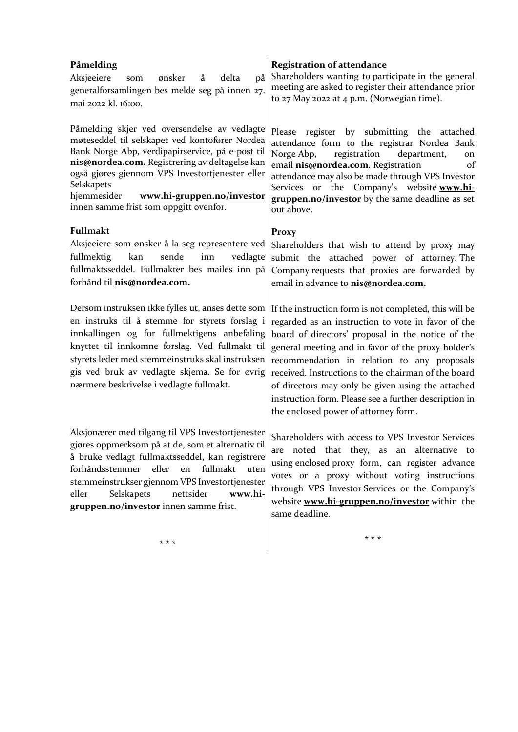| Påmelding<br>Aksjeeiere<br>ønsker<br>på<br>å<br>delta<br>som<br>generalforsamlingen bes melde seg på innen 27.<br>mai 2022 kl. 16:00.                                                                                                                                                                                                                        | <b>Registration of attendance</b><br>Shareholders wanting to participate in the general<br>meeting are asked to register their attendance prior<br>to 27 May 2022 at 4 p.m. (Norwegian time).                                                                                                                                                                                                                                                                                       |
|--------------------------------------------------------------------------------------------------------------------------------------------------------------------------------------------------------------------------------------------------------------------------------------------------------------------------------------------------------------|-------------------------------------------------------------------------------------------------------------------------------------------------------------------------------------------------------------------------------------------------------------------------------------------------------------------------------------------------------------------------------------------------------------------------------------------------------------------------------------|
| Påmelding skjer ved oversendelse av vedlagte<br>møteseddel til selskapet ved kontofører Nordea<br>Bank Norge Abp, verdipapirservice, på e-post til<br>nis@nordea.com. Registrering av deltagelse kan<br>også gjøres gjennom VPS Investortjenester eller<br>Selskapets<br>hjemmesider<br>www.hi-gruppen.no/investor<br>innen samme frist som oppgitt ovenfor. | register by submitting the attached<br>Please<br>attendance form to the registrar Nordea Bank<br>registration<br>Norge Abp,<br>department,<br>on<br>email nis@nordea.com. Registration<br>of<br>attendance may also be made through VPS Investor<br>Services or the Company's website www.hi-<br>gruppen.no/investor by the same deadline as set<br>out above.                                                                                                                      |
| Fullmakt<br>Aksjeeiere som ønsker å la seg representere ved<br>fullmektig<br>kan<br>sende<br>inn<br>vedlagte<br>fullmaktsseddel. Fullmakter bes mailes inn på<br>forhånd til nis@nordea.com.                                                                                                                                                                 | <b>Proxy</b><br>Shareholders that wish to attend by proxy may<br>submit the attached power of attorney. The<br>Company requests that proxies are forwarded by<br>email in advance to <b>nis@nordea.com</b> .                                                                                                                                                                                                                                                                        |
| Dersom instruksen ikke fylles ut, anses dette som<br>en instruks til å stemme for styrets forslag i<br>innkallingen og for fullmektigens anbefaling<br>knyttet til innkomne forslag. Ved fullmakt til<br>styrets leder med stemmeinstruks skal instruksen<br>gis ved bruk av vedlagte skjema. Se for øvrig<br>nærmere beskrivelse i vedlagte fullmakt.       | If the instruction form is not completed, this will be<br>regarded as an instruction to vote in favor of the<br>board of directors' proposal in the notice of the<br>general meeting and in favor of the proxy holder's<br>recommendation in relation to any proposals<br>received. Instructions to the chairman of the board<br>of directors may only be given using the attached<br>instruction form. Please see a further description in<br>the enclosed power of attorney form. |
| Aksjonærer med tilgang til VPS Investortjenester<br>gjøres oppmerksom på at de, som et alternativ til<br>å bruke vedlagt fullmaktsseddel, kan registrere<br>forhåndsstemmer<br>eller<br>fullmakt<br>en<br>uten<br>stemmeinstrukser gjennom VPS Investortjenester<br>eller<br>Selskapets<br>nettsider<br>www.hi-<br>gruppen.no/investor innen samme frist.    | Shareholders with access to VPS Investor Services<br>are noted that they, as an alternative to<br>using enclosed proxy form, can register advance<br>votes or a proxy without voting instructions<br>through VPS Investor Services or the Company's<br>website www.hi-gruppen.no/investor within the<br>same deadline.                                                                                                                                                              |

\* **\* \***

\* \* \*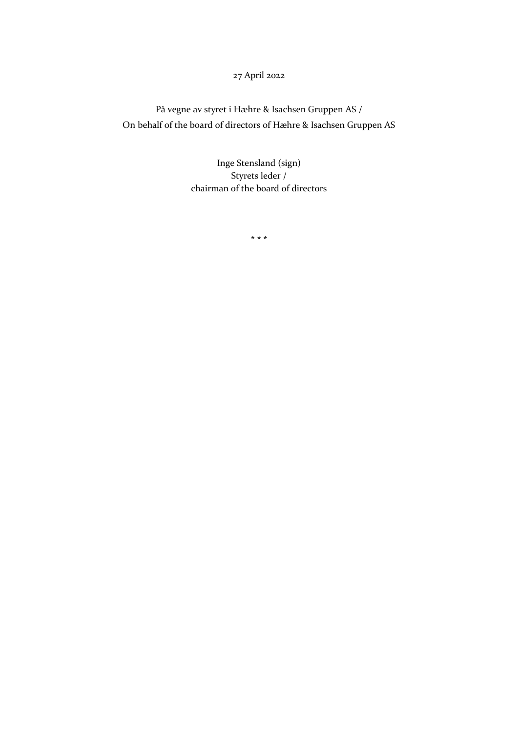# 27 April 2022

På vegne av styret i Hæhre & Isachsen Gruppen AS / On behalf of the board of directors of Hæhre & Isachsen Gruppen AS

> Inge Stensland (sign) Styrets leder / chairman of the board of directors

> > **\* \* \***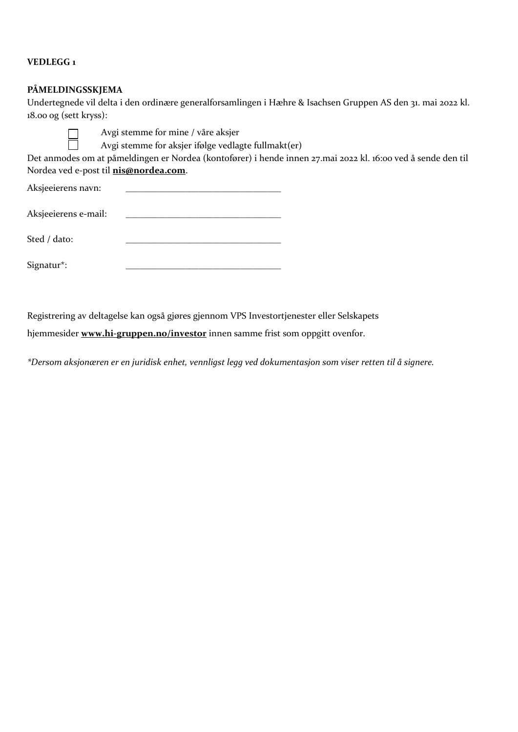## **VEDLEGG 1**

# **PÅMELDINGSSKJEMA**

 $\Box$  $\Box$ 

Undertegnede vil delta i den ordinære generalforsamlingen i Hæhre & Isachsen Gruppen AS den 31. mai 2022 kl. 18.00 og (sett kryss):

Avgi stemme for mine / våre aksjer

Avgi stemme for aksjer ifølge vedlagte fullmakt(er)

Det anmodes om at påmeldingen er Nordea (kontofører) i hende innen 27.mai 2022 kl. 16:00 ved å sende den til Nordea ved e-post til **[nis@nordea.com](mailto:nis@nordea.com)**.

| Aksjeeierens navn:   |  |  |
|----------------------|--|--|
| Aksjeeierens e-mail: |  |  |
| Sted / dato:         |  |  |
| Signatur*:           |  |  |

Registrering av deltagelse kan også gjøres gjennom VPS Investortjenester eller Selskapets hjemmesider **[www.hi-gruppen.no/investor](http://www.hi-gruppen.no/investor)** innen samme frist som oppgitt ovenfor.

*\*Dersom aksjonæren er en juridisk enhet, vennligst legg ved dokumentasjon som viser retten til å signere.*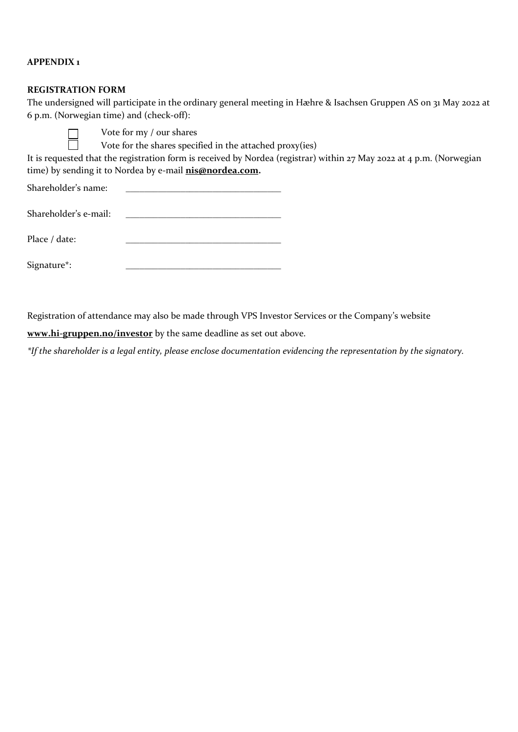## **APPENDIX 1**

### **REGISTRATION FORM**

┓  $\Box$ 

The undersigned will participate in the ordinary general meeting in Hæhre & Isachsen Gruppen AS on 31 May 2022 at 6 p.m. (Norwegian time) and (check-off):

Vote for my / our shares

Vote for the shares specified in the attached proxy(ies)

It is requested that the registration form is received by Nordea (registrar) within 27 May 2022 at 4 p.m. (Norwegian time) by sending it to Nordea by e-mail **[nis@nordea.com.](mailto:nis@nordea.com)**

Shareholder's name:

| Shareholder's e-mail: |  |
|-----------------------|--|
|                       |  |

| Place / date: |  |
|---------------|--|
|               |  |

Signature\*: \_\_\_\_\_\_\_\_\_\_\_\_\_\_\_\_\_\_\_\_\_\_\_\_\_\_\_\_\_\_\_\_\_\_

Registration of attendance may also be made through VPS Investor Services or the Company's website

**[www.hi-gruppen.no/investor](http://www.hi-gruppen.no/investor)** by the same deadline as set out above.

*\*If the shareholder is a legal entity, please enclose documentation evidencing the representation by the signatory.*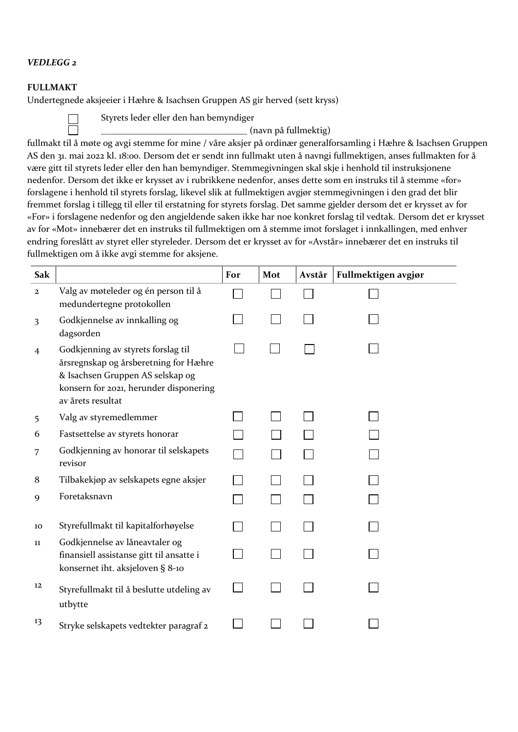### *VEDLEGG 2*

### **FULLMAKT**

Undertegnede aksjeeier i Hæhre & Isachsen Gruppen AS gir herved (sett kryss)



Styrets leder eller den han bemyndiger

\_\_\_\_\_\_\_\_\_\_\_\_\_\_\_\_\_\_\_\_\_\_\_\_\_\_\_\_\_\_\_\_ (navn på fullmektig)

fullmakt til å møte og avgi stemme for mine / våre aksjer på ordinær generalforsamling i Hæhre & Isachsen Gruppen AS den 31. mai 2022 kl. 18:00. Dersom det er sendt inn fullmakt uten å navngi fullmektigen, anses fullmakten for å være gitt til styrets leder eller den han bemyndiger. Stemmegivningen skal skje i henhold til instruksjonene nedenfor. Dersom det ikke er krysset av i rubrikkene nedenfor, anses dette som en instruks til å stemme «for» forslagene i henhold til styrets forslag, likevel slik at fullmektigen avgjør stemmegivningen i den grad det blir fremmet forslag i tillegg til eller til erstatning for styrets forslag. Det samme gjelder dersom det er krysset av for «For» i forslagene nedenfor og den angjeldende saken ikke har noe konkret forslag til vedtak. Dersom det er krysset av for «Mot» innebærer det en instruks til fullmektigen om å stemme imot forslaget i innkallingen, med enhver endring foreslått av styret eller styreleder. Dersom det er krysset av for «Avstår» innebærer det en instruks til fullmektigen om å ikke avgi stemme for aksjene.

| Sak          |                                                                                                                                                                                | For | Mot | Avstår | Fullmektigen avgjør |
|--------------|--------------------------------------------------------------------------------------------------------------------------------------------------------------------------------|-----|-----|--------|---------------------|
| $\mathbf{2}$ | Valg av møteleder og én person til å<br>medundertegne protokollen                                                                                                              |     |     |        |                     |
| 3            | Godkjennelse av innkalling og<br>dagsorden                                                                                                                                     |     |     |        |                     |
| 4            | Godkjenning av styrets forslag til<br>årsregnskap og årsberetning for Hæhre<br>& Isachsen Gruppen AS selskap og<br>konsern for 2021, herunder disponering<br>av årets resultat |     |     |        |                     |
| 5            | Valg av styremedlemmer                                                                                                                                                         |     |     |        |                     |
| 6            | Fastsettelse av styrets honorar                                                                                                                                                |     |     |        |                     |
| 7            | Godkjenning av honorar til selskapets<br>revisor                                                                                                                               |     |     |        |                     |
| 8            | Tilbakekjøp av selskapets egne aksjer                                                                                                                                          |     |     |        |                     |
| 9            | Foretaksnavn                                                                                                                                                                   |     |     |        |                     |
| 10           | Styrefullmakt til kapitalforhøyelse                                                                                                                                            |     |     |        |                     |
| 11           | Godkjennelse av låneavtaler og<br>finansiell assistanse gitt til ansatte i<br>konsernet iht. aksjeloven § 8-10                                                                 |     |     |        |                     |
| 12           | Styrefullmakt til å beslutte utdeling av<br>utbytte                                                                                                                            |     |     |        |                     |
| 13           | Stryke selskapets vedtekter paragraf 2                                                                                                                                         |     |     |        |                     |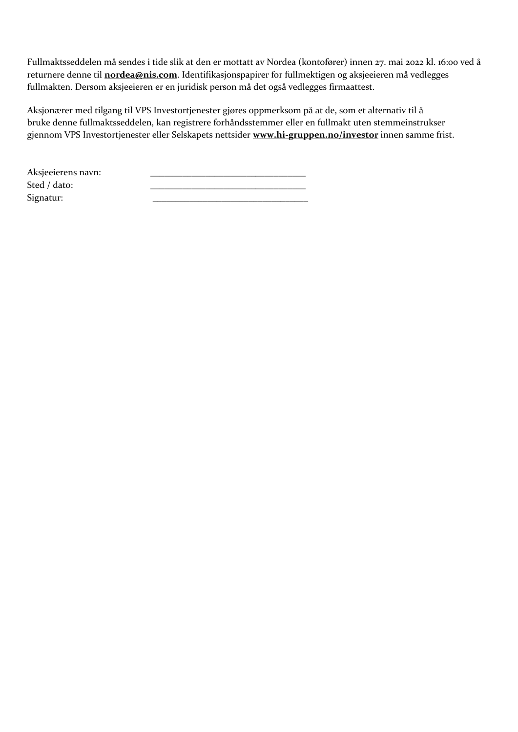Fullmaktsseddelen må sendes i tide slik at den er mottatt av Nordea (kontofører) innen 27. mai 2022 kl. 16:00 ved å returnere denne til **[nordea@nis.com](mailto:nordea@nis.com)**. Identifikasjonspapirer for fullmektigen og aksjeeieren må vedlegges fullmakten. Dersom aksjeeieren er en juridisk person må det også vedlegges firmaattest.

Aksjonærer med tilgang til VPS Investortjenester gjøres oppmerksom på at de, som et alternativ til å bruke denne fullmaktsseddelen, kan registrere forhåndsstemmer eller en fullmakt uten stemmeinstrukser gjennom VPS Investortjenester eller Selskapets nettsider **[www.hi-gruppen.no/investor](http://www.hi-gruppen.no/investor)** innen samme frist.

| Aksjeeierens navn: |  |
|--------------------|--|
| Sted / dato:       |  |
| Signatur:          |  |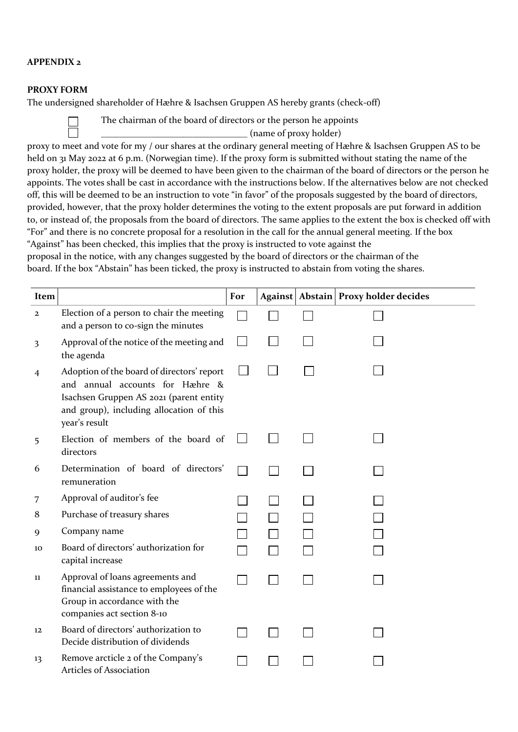## **APPENDIX 2**

### **PROXY FORM**

The undersigned shareholder of Hæhre & Isachsen Gruppen AS hereby grants (check-off)

The chairman of the board of directors or the person he appoints

\_\_\_\_\_\_\_\_\_\_\_\_\_\_\_\_\_\_\_\_\_\_\_\_\_\_\_\_\_\_\_\_ (name of proxy holder)

proxy to meet and vote for my / our shares at the ordinary general meeting of Hæhre & Isachsen Gruppen AS to be held on 31 May 2022 at 6 p.m. (Norwegian time). If the proxy form is submitted without stating the name of the proxy holder, the proxy will be deemed to have been given to the chairman of the board of directors or the person he appoints. The votes shall be cast in accordance with the instructions below. If the alternatives below are not checked off, this will be deemed to be an instruction to vote "in favor" of the proposals suggested by the board of directors, provided, however, that the proxy holder determines the voting to the extent proposals are put forward in addition to, or instead of, the proposals from the board of directors. The same applies to the extent the box is checked off with "For" and there is no concrete proposal for a resolution in the call for the annual general meeting. If the box "Against" has been checked, this implies that the proxy is instructed to vote against the

proposal in the notice, with any changes suggested by the board of directors or the chairman of the board. If the box "Abstain" has been ticked, the proxy is instructed to abstain from voting the shares.

| Item         |                                                                                                                                                                                       | For |  | Against Abstain Proxy holder decides |
|--------------|---------------------------------------------------------------------------------------------------------------------------------------------------------------------------------------|-----|--|--------------------------------------|
| $\mathbf{2}$ | Election of a person to chair the meeting<br>and a person to co-sign the minutes                                                                                                      |     |  |                                      |
| 3            | Approval of the notice of the meeting and<br>the agenda                                                                                                                               |     |  |                                      |
| 4            | Adoption of the board of directors' report<br>and annual accounts for Hæhre &<br>Isachsen Gruppen AS 2021 (parent entity<br>and group), including allocation of this<br>year's result |     |  |                                      |
| 5            | Election of members of the board of<br>directors                                                                                                                                      |     |  |                                      |
| 6            | Determination of board of directors'<br>remuneration                                                                                                                                  |     |  |                                      |
| 7            | Approval of auditor's fee                                                                                                                                                             |     |  |                                      |
| 8            | Purchase of treasury shares                                                                                                                                                           |     |  |                                      |
| 9            | Company name                                                                                                                                                                          |     |  |                                      |
| 10           | Board of directors' authorization for<br>capital increase                                                                                                                             |     |  |                                      |
| 11           | Approval of loans agreements and<br>financial assistance to employees of the<br>Group in accordance with the<br>companies act section 8-10                                            |     |  |                                      |
| 12           | Board of directors' authorization to<br>Decide distribution of dividends                                                                                                              |     |  |                                      |
| 13           | Remove arcticle 2 of the Company's<br>Articles of Association                                                                                                                         |     |  |                                      |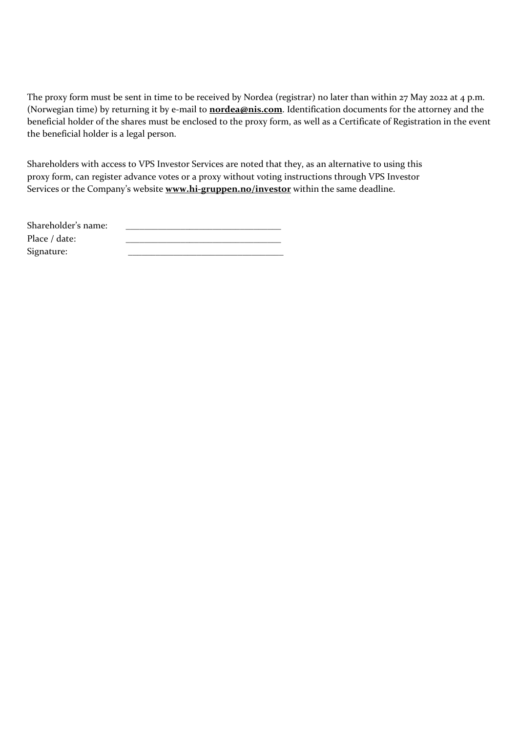The proxy form must be sent in time to be received by Nordea (registrar) no later than within 27 May 2022 at 4 p.m. (Norwegian time) by returning it by e-mail to **[nordea@nis.com](mailto:xxxx@hi-gruppen.com)**. Identification documents for the attorney and the beneficial holder of the shares must be enclosed to the proxy form, as well as a Certificate of Registration in the event the beneficial holder is a legal person.

Shareholders with access to VPS Investor Services are noted that they, as an alternative to using this proxy form, can register advance votes or a proxy without voting instructions through VPS Investor Services or the Company's website **[www.hi-gruppen.no/investor](http://www.hi-gruppen.no/investor)** within the same deadline.

| Shareholder's name: |  |
|---------------------|--|
| Place / date:       |  |
| Signature:          |  |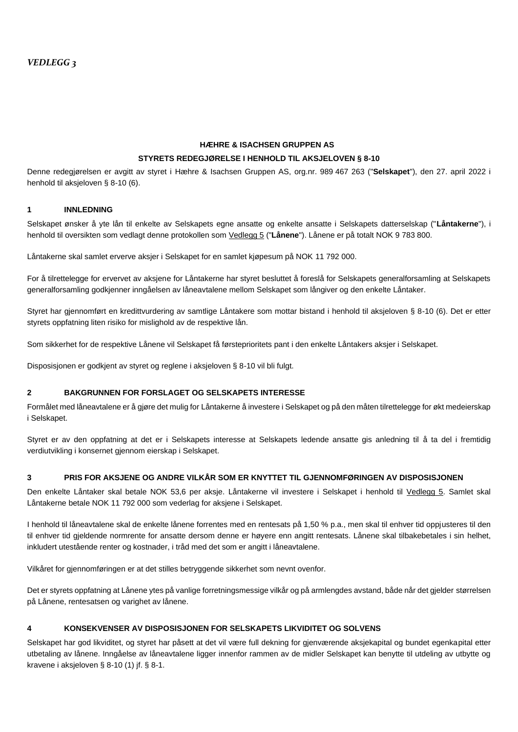### **HÆHRE & ISACHSEN GRUPPEN AS STYRETS REDEGJØRELSE I HENHOLD TIL AKSJELOVEN § 8-10**

Denne redegjørelsen er avgitt av styret i Hæhre & Isachsen Gruppen AS, org.nr. 989 467 263 ("**Selskapet**"), den 27. april 2022 i henhold til aksjeloven § 8-10 (6).

#### **1 INNLEDNING**

Selskapet ønsker å yte lån til enkelte av Selskapets egne ansatte og enkelte ansatte i Selskapets datterselskap ("**Låntakerne**"), i henhold til oversikten som vedlagt denne protokollen som Vedlegg 5 ("**Lånene**"). Lånene er på totalt NOK 9 783 800.

Låntakerne skal samlet erverve aksjer i Selskapet for en samlet kjøpesum på NOK 11 792 000.

For å tilrettelegge for ervervet av aksjene for Låntakerne har styret besluttet å foreslå for Selskapets generalforsamling at Selskapets generalforsamling godkjenner inngåelsen av låneavtalene mellom Selskapet som långiver og den enkelte Låntaker.

Styret har gjennomført en kredittvurdering av samtlige Låntakere som mottar bistand i henhold til aksjeloven § 8-10 (6). Det er etter styrets oppfatning liten risiko for mislighold av de respektive lån.

Som sikkerhet for de respektive Lånene vil Selskapet få førsteprioritets pant i den enkelte Låntakers aksjer i Selskapet.

Disposisjonen er godkjent av styret og reglene i aksjeloven § 8-10 vil bli fulgt.

#### **2 BAKGRUNNEN FOR FORSLAGET OG SELSKAPETS INTERESSE**

Formålet med låneavtalene er å gjøre det mulig for Låntakerne å investere i Selskapet og på den måten tilrettelegge for økt medeierskap i Selskapet.

Styret er av den oppfatning at det er i Selskapets interesse at Selskapets ledende ansatte gis anledning til å ta del i fremtidig verdiutvikling i konsernet gjennom eierskap i Selskapet.

#### **3 PRIS FOR AKSJENE OG ANDRE VILKÅR SOM ER KNYTTET TIL GJENNOMFØRINGEN AV DISPOSISJONEN**

Den enkelte Låntaker skal betale NOK 53,6 per aksje. Låntakerne vil investere i Selskapet i henhold til Vedlegg 5. Samlet skal Låntakerne betale NOK 11 792 000 som vederlag for aksjene i Selskapet.

I henhold til låneavtalene skal de enkelte lånene forrentes med en rentesats på 1,50 % p.a., men skal til enhver tid oppjusteres til den til enhver tid gjeldende normrente for ansatte dersom denne er høyere enn angitt rentesats. Lånene skal tilbakebetales i sin helhet, inkludert utestående renter og kostnader, i tråd med det som er angitt i låneavtalene.

Vilkåret for gjennomføringen er at det stilles betryggende sikkerhet som nevnt ovenfor.

Det er styrets oppfatning at Lånene ytes på vanlige forretningsmessige vilkår og på armlengdes avstand, både når det gjelder størrelsen på Lånene, rentesatsen og varighet av lånene.

### **4 KONSEKVENSER AV DISPOSISJONEN FOR SELSKAPETS LIKVIDITET OG SOLVENS**

Selskapet har god likviditet, og styret har påsett at det vil være full dekning for gjenværende aksjekapital og bundet egenkapital etter utbetaling av lånene. Inngåelse av låneavtalene ligger innenfor rammen av de midler Selskapet kan benytte til utdeling av utbytte og kravene i aksjeloven § 8-10 (1) jf. § 8-1.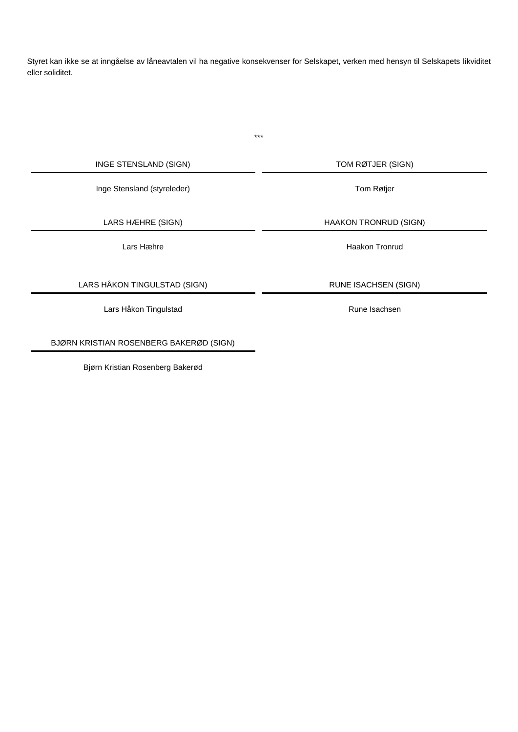Styret kan ikke se at inngåelse av låneavtalen vil ha negative konsekvenser for Selskapet, verken med hensyn til Selskapets likviditet eller soliditet.

\*\*\*

INGE STENSLAND (SIGN) TOM RØTJER (SIGN)

Inge Stensland (styreleder) Tom Røtjer

LARS HÅKON TINGULSTAD (SIGN) RUNE ISACHSEN (SIGN)

Lars Håkon Tingulstad **Rune Isachsen** 

BJØRN KRISTIAN ROSENBERG BAKERØD (SIGN)

Bjørn Kristian Rosenberg Bakerød

LARS HÆHRE (SIGN) HAAKON TRONRUD (SIGN)

Lars Hæhre **Haakon Tronrud**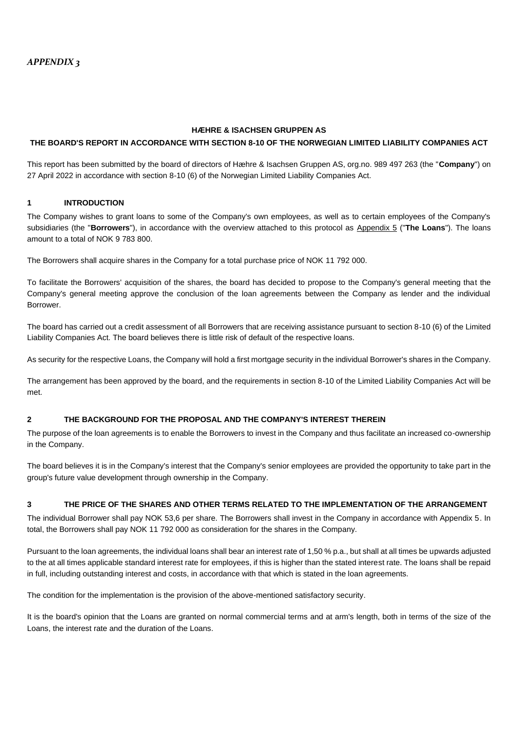#### **HÆHRE & ISACHSEN GRUPPEN AS**

#### **THE BOARD'S REPORT IN ACCORDANCE WITH SECTION 8-10 OF THE NORWEGIAN LIMITED LIABILITY COMPANIES ACT**

This report has been submitted by the board of directors of Hæhre & Isachsen Gruppen AS, org.no. 989 497 263 (the "**Company**") on 27 April 2022 in accordance with section 8-10 (6) of the Norwegian Limited Liability Companies Act.

#### **1 INTRODUCTION**

The Company wishes to grant loans to some of the Company's own employees, as well as to certain employees of the Company's subsidiaries (the "**Borrowers**"), in accordance with the overview attached to this protocol as Appendix 5 ("**The Loans**"). The loans amount to a total of NOK 9 783 800.

The Borrowers shall acquire shares in the Company for a total purchase price of NOK 11 792 000.

To facilitate the Borrowers' acquisition of the shares, the board has decided to propose to the Company's general meeting that the Company's general meeting approve the conclusion of the loan agreements between the Company as lender and the individual Borrower.

The board has carried out a credit assessment of all Borrowers that are receiving assistance pursuant to section 8-10 (6) of the Limited Liability Companies Act. The board believes there is little risk of default of the respective loans.

As security for the respective Loans, the Company will hold a first mortgage security in the individual Borrower's shares in the Company.

The arrangement has been approved by the board, and the requirements in section 8-10 of the Limited Liability Companies Act will be met.

#### **2 THE BACKGROUND FOR THE PROPOSAL AND THE COMPANY'S INTEREST THEREIN**

The purpose of the loan agreements is to enable the Borrowers to invest in the Company and thus facilitate an increased co-ownership in the Company.

The board believes it is in the Company's interest that the Company's senior employees are provided the opportunity to take part in the group's future value development through ownership in the Company.

#### **3 THE PRICE OF THE SHARES AND OTHER TERMS RELATED TO THE IMPLEMENTATION OF THE ARRANGEMENT**

The individual Borrower shall pay NOK 53,6 per share. The Borrowers shall invest in the Company in accordance with Appendix 5. In total, the Borrowers shall pay NOK 11 792 000 as consideration for the shares in the Company.

Pursuant to the loan agreements, the individual loans shall bear an interest rate of 1,50 % p.a., but shall at all times be upwards adjusted to the at all times applicable standard interest rate for employees, if this is higher than the stated interest rate. The loans shall be repaid in full, including outstanding interest and costs, in accordance with that which is stated in the loan agreements.

The condition for the implementation is the provision of the above-mentioned satisfactory security.

It is the board's opinion that the Loans are granted on normal commercial terms and at arm's length, both in terms of the size of the Loans, the interest rate and the duration of the Loans.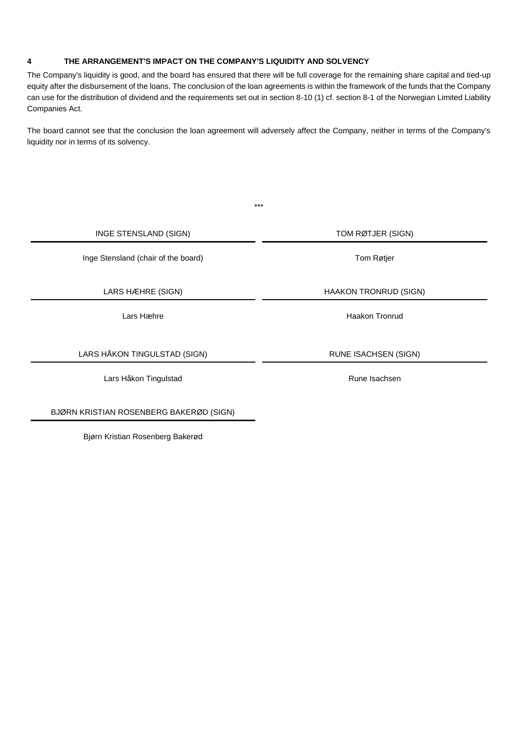### **4 THE ARRANGEMENT'S IMPACT ON THE COMPANY'S LIQUIDITY AND SOLVENCY**

The Company's liquidity is good, and the board has ensured that there will be full coverage for the remaining share capital and tied-up equity after the disbursement of the loans. The conclusion of the loan agreements is within the framework of the funds that the Company can use for the distribution of dividend and the requirements set out in section 8-10 (1) cf. section 8-1 of the Norwegian Limited Liability Companies Act.

The board cannot see that the conclusion the loan agreement will adversely affect the Company, neither in terms of the Company's liquidity nor in terms of its solvency.

|                                     | $***$                        |
|-------------------------------------|------------------------------|
| INGE STENSLAND (SIGN)               | TOM RØTJER (SIGN)            |
| Inge Stensland (chair of the board) | Tom Røtjer                   |
| LARS HÆHRE (SIGN)                   | <b>HAAKON TRONRUD (SIGN)</b> |
| Lars Hæhre                          | Haakon Tronrud               |
| LARS HÅKON TINGULSTAD (SIGN)        | <b>RUNE ISACHSEN (SIGN)</b>  |
| Lars Håkon Tingulstad               | Rune Isachsen                |

BJØRN KRISTIAN ROSENBERG BAKERØD (SIGN)

Bjørn Kristian Rosenberg Bakerød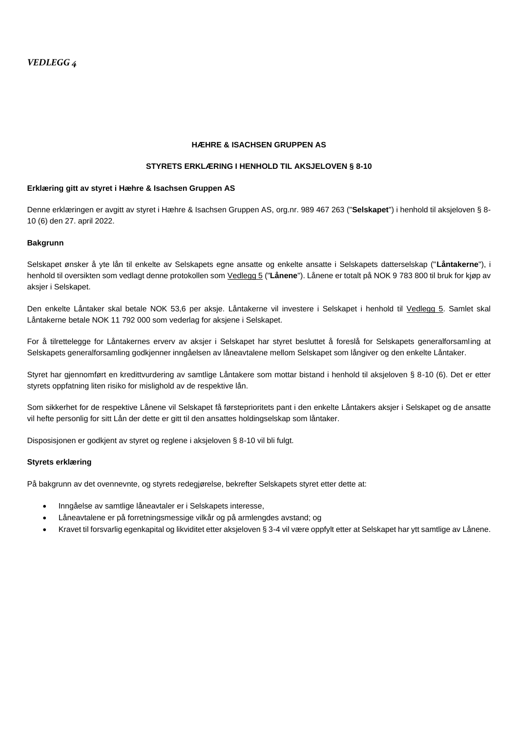#### **HÆHRE & ISACHSEN GRUPPEN AS**

#### **STYRETS ERKLÆRING I HENHOLD TIL AKSJELOVEN § 8-10**

#### **Erklæring gitt av styret i Hæhre & Isachsen Gruppen AS**

Denne erklæringen er avgitt av styret i Hæhre & Isachsen Gruppen AS, org.nr. 989 467 263 ("**Selskapet**") i henhold til aksjeloven § 8- 10 (6) den 27. april 2022.

#### **Bakgrunn**

Selskapet ønsker å yte lån til enkelte av Selskapets egne ansatte og enkelte ansatte i Selskapets datterselskap ("**Låntakerne**"), i henhold til oversikten som vedlagt denne protokollen som Vedlegg 5 ("**Lånene**"). Lånene er totalt på NOK 9 783 800 til bruk for kjøp av aksjer i Selskapet.

Den enkelte Låntaker skal betale NOK 53,6 per aksje. Låntakerne vil investere i Selskapet i henhold til Vedlegg 5. Samlet skal Låntakerne betale NOK 11 792 000 som vederlag for aksjene i Selskapet.

For å tilrettelegge for Låntakernes ervery av aksier i Selskapet har styret besluttet å foreslå for Selskapets generalforsamling at Selskapets generalforsamling godkjenner inngåelsen av låneavtalene mellom Selskapet som långiver og den enkelte Låntaker.

Styret har gjennomført en kredittvurdering av samtlige Låntakere som mottar bistand i henhold til aksjeloven § 8-10 (6). Det er etter styrets oppfatning liten risiko for mislighold av de respektive lån.

Som sikkerhet for de respektive Lånene vil Selskapet få førsteprioritets pant i den enkelte Låntakers aksjer i Selskapet og de ansatte vil hefte personlig for sitt Lån der dette er gitt til den ansattes holdingselskap som låntaker.

Disposisjonen er godkjent av styret og reglene i aksjeloven § 8-10 vil bli fulgt.

#### **Styrets erklæring**

På bakgrunn av det ovennevnte, og styrets redegjørelse, bekrefter Selskapets styret etter dette at:

- Inngåelse av samtlige låneavtaler er i Selskapets interesse,
- Låneavtalene er på forretningsmessige vilkår og på armlengdes avstand; og
- Kravet til forsvarlig egenkapital og likviditet etter aksjeloven § 3-4 vil være oppfylt etter at Selskapet har ytt samtlige av Lånene.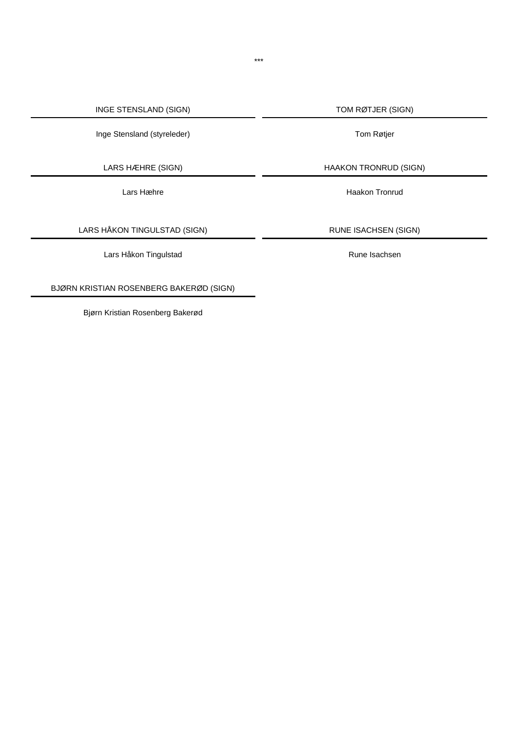Inge Stensland (styreleder) and a step of the Tom Røtjer of Tom Røtjer

LARS HÅKON TINGULSTAD (SIGN) RUNE ISACHSEN (SIGN)

Lars Håkon Tingulstad **Rune Isachsen** Rune Isachsen

BJØRN KRISTIAN ROSENBERG BAKERØD (SIGN)

Bjørn Kristian Rosenberg Bakerød

LARS HÆHRE (SIGN) HAAKON TRONRUD (SIGN)

Lars Hæhre **Haakon Tronrud**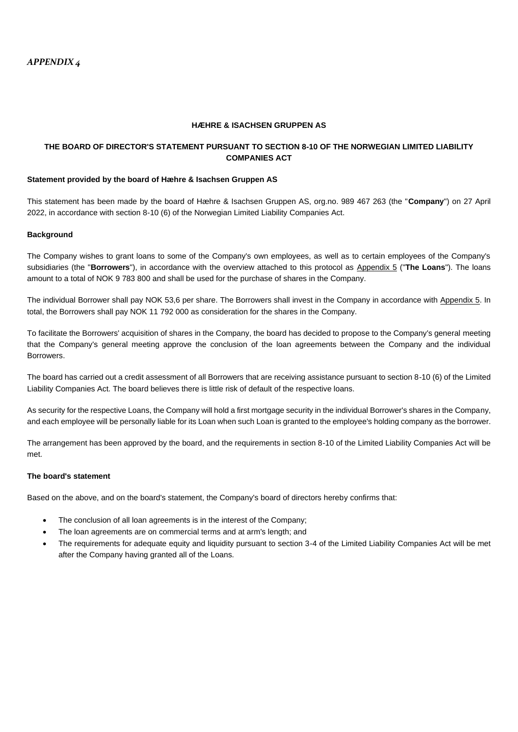#### **HÆHRE & ISACHSEN GRUPPEN AS**

### **THE BOARD OF DIRECTOR'S STATEMENT PURSUANT TO SECTION 8-10 OF THE NORWEGIAN LIMITED LIABILITY COMPANIES ACT**

#### **Statement provided by the board of Hæhre & Isachsen Gruppen AS**

This statement has been made by the board of Hæhre & Isachsen Gruppen AS, org.no. 989 467 263 (the "**Company**") on 27 April 2022, in accordance with section 8-10 (6) of the Norwegian Limited Liability Companies Act.

#### **Background**

The Company wishes to grant loans to some of the Company's own employees, as well as to certain employees of the Company's subsidiaries (the "**Borrowers**"), in accordance with the overview attached to this protocol as Appendix 5 ("**The Loans**"). The loans amount to a total of NOK 9 783 800 and shall be used for the purchase of shares in the Company.

The individual Borrower shall pay NOK 53,6 per share. The Borrowers shall invest in the Company in accordance with Appendix 5. In total, the Borrowers shall pay NOK 11 792 000 as consideration for the shares in the Company.

To facilitate the Borrowers' acquisition of shares in the Company, the board has decided to propose to the Company's general meeting that the Company's general meeting approve the conclusion of the loan agreements between the Company and the individual Borrowers.

The board has carried out a credit assessment of all Borrowers that are receiving assistance pursuant to section 8-10 (6) of the Limited Liability Companies Act. The board believes there is little risk of default of the respective loans.

As security for the respective Loans, the Company will hold a first mortgage security in the individual Borrower's shares in the Company, and each employee will be personally liable for its Loan when such Loan is granted to the employee's holding company as the borrower.

The arrangement has been approved by the board, and the requirements in section 8-10 of the Limited Liability Companies Act will be met.

#### **The board's statement**

Based on the above, and on the board's statement, the Company's board of directors hereby confirms that:

- The conclusion of all loan agreements is in the interest of the Company;
- The loan agreements are on commercial terms and at arm's length; and
- The requirements for adequate equity and liquidity pursuant to section 3-4 of the Limited Liability Companies Act will be met after the Company having granted all of the Loans.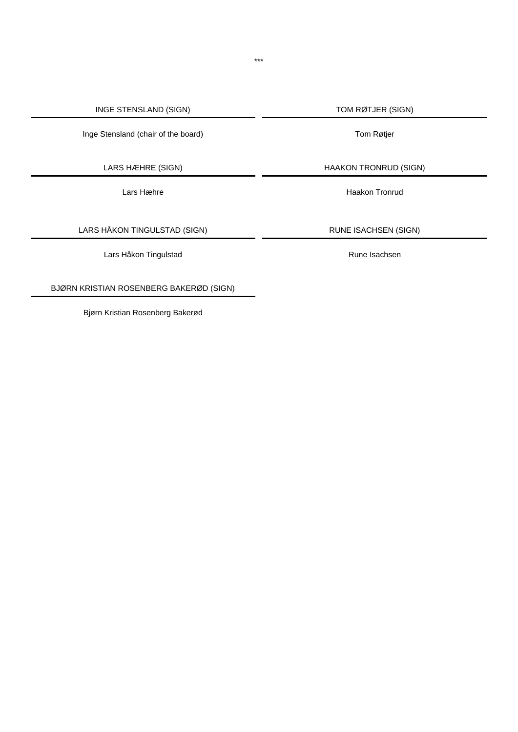Inge Stensland (chair of the board) Tom Røtjer

LARS HÅKON TINGULSTAD (SIGN) RUNE ISACHSEN (SIGN)

Lars Håkon Tingulstad **Rune Isachsen** Rune Isachsen

BJØRN KRISTIAN ROSENBERG BAKERØD (SIGN)

Bjørn Kristian Rosenberg Bakerød

LARS HÆHRE (SIGN) HAAKON TRONRUD (SIGN)

Lars Hæhre **Haakon Tronrud**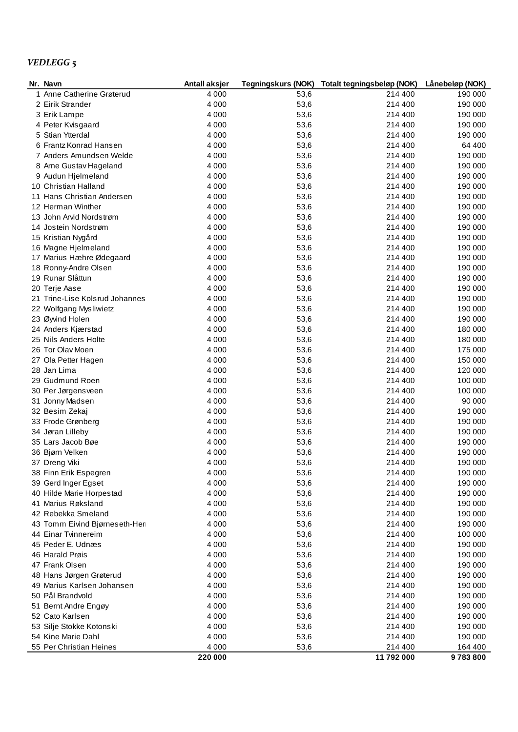# *VEDLEGG 5*

| Nr. Navn                       | Antall aksjer |      | Tegningskurs (NOK) Totalt tegningsbeløp (NOK) | Lånebeløp (NOK) |
|--------------------------------|---------------|------|-----------------------------------------------|-----------------|
| 1 Anne Catherine Grøterud      | 4 0 0 0       | 53,6 | 214 400                                       | 190 000         |
| 2 Eirik Strander               | 4 0 0 0       | 53,6 | 214 400                                       | 190 000         |
| 3 Erik Lampe                   | 4 0 0 0       | 53,6 | 214 400                                       | 190 000         |
| 4 Peter Kvisgaard              | 4 0 0 0       | 53,6 | 214 400                                       | 190 000         |
| 5 Stian Ytterdal               | 4 0 0 0       | 53,6 | 214 400                                       | 190 000         |
| 6 Frantz Konrad Hansen         | 4 0 0 0       | 53,6 | 214 400                                       | 64 400          |
| 7 Anders Amundsen Welde        | 4 0 0 0       | 53,6 | 214 400                                       | 190 000         |
| 8 Arne Gustav Hageland         | 4 0 0 0       | 53,6 | 214 400                                       | 190 000         |
| 9 Audun Hjelmeland             | 4 0 0 0       | 53,6 | 214 400                                       | 190 000         |
| 10 Christian Halland           | 4 0 0 0       | 53,6 | 214 400                                       | 190 000         |
| 11 Hans Christian Andersen     | 4 0 0 0       | 53,6 | 214 400                                       | 190 000         |
| 12 Herman Winther              | 4 0 0 0       | 53,6 | 214 400                                       | 190 000         |
| 13 John Arvid Nordstrøm        | 4 0 0 0       | 53,6 | 214 400                                       | 190 000         |
| 14 Jostein Nordstrøm           | 4 0 0 0       | 53,6 | 214 400                                       | 190 000         |
| 15 Kristian Nygård             | 4 0 0 0       | 53,6 | 214 400                                       | 190 000         |
| 16 Magne Hjelmeland            | 4 0 0 0       | 53,6 | 214 400                                       | 190 000         |
| 17 Marius Hæhre Ødegaard       | 4 0 0 0       | 53,6 | 214 400                                       | 190 000         |
| 18 Ronny-Andre Olsen           | 4 0 0 0       | 53,6 | 214 400                                       | 190 000         |
| 19 Runar Slåttun               | 4 0 0 0       | 53,6 | 214 400                                       | 190 000         |
| 20 Terje Aase                  | 4 0 0 0       | 53,6 | 214 400                                       | 190 000         |
| 21 Trine-Lise Kolsrud Johannes | 4 0 0 0       | 53,6 | 214 400                                       | 190 000         |
| 22 Wolfgang Mysliwietz         | 4 0 0 0       | 53,6 | 214 400                                       | 190 000         |
| 23 Øyvind Holen                | 4 0 0 0       | 53,6 | 214 400                                       | 190 000         |
| 24 Anders Kjærstad             | 4 0 0 0       | 53,6 | 214 400                                       | 180 000         |
| 25 Nils Anders Holte           | 4 0 0 0       | 53,6 | 214 400                                       | 180 000         |
| 26 Tor Olav Moen               | 4 0 0 0       | 53,6 | 214 400                                       | 175 000         |
| 27 Ola Petter Hagen            | 4 0 0 0       | 53,6 | 214 400                                       | 150 000         |
| 28 Jan Lima                    | 4 0 0 0       | 53,6 | 214 400                                       | 120 000         |
| 29 Gudmund Roen                | 4 0 0 0       | 53,6 | 214 400                                       | 100 000         |
| 30 Per Jørgensveen             | 4 0 0 0       | 53,6 | 214 400                                       | 100 000         |
| 31 Jonny Madsen                | 4 0 0 0       | 53,6 | 214 400                                       | 90 000          |
| 32 Besim Zekaj                 | 4 0 0 0       | 53,6 | 214 400                                       | 190 000         |
| 33 Frode Grønberg              | 4 0 0 0       | 53,6 | 214 400                                       | 190 000         |
| 34 Jøran Lilleby               | 4 0 0 0       | 53,6 | 214 400                                       | 190 000         |
| 35 Lars Jacob Bøe              | 4 0 0 0       | 53,6 | 214 400                                       | 190 000         |
| 36 Bjørn Velken                | 4 0 0 0       | 53,6 | 214 400                                       | 190 000         |
| 37 Dreng Viki                  | 4 0 0 0       | 53,6 | 214 400                                       | 190 000         |
| 38 Finn Erik Espegren          | 4 0 0 0       | 53,6 | 214 400                                       | 190 000         |
| 39 Gerd Inger Egset            | 4 0 0 0       | 53,6 | 214 400                                       | 190 000         |
| 40 Hilde Marie Horpestad       | 4 0 0 0       | 53,6 | 214 400                                       | 190 000         |
| 41 Marius Røksland             | 4 0 0 0       | 53,6 | 214 400                                       | 190 000         |
| 42 Rebekka Smeland             | 4 0 0 0       | 53,6 | 214 400                                       | 190 000         |
| 43 Tomm Eivind Bjørneseth-Her  | 4 0 0 0       | 53,6 | 214 400                                       | 190 000         |
| 44 Einar Tvinnereim            | 4 0 0 0       | 53,6 | 214 400                                       | 100 000         |
| 45 Peder E. Udnæs              | 4 0 0 0       | 53,6 | 214 400                                       | 190 000         |
| 46 Harald Prøis                | 4 0 0 0       | 53,6 | 214 400                                       | 190 000         |
| 47 Frank Olsen                 | 4 0 0 0       | 53,6 | 214 400                                       | 190 000         |
| 48 Hans Jørgen Grøterud        | 4 0 0 0       | 53,6 | 214 400                                       | 190 000         |
| 49 Marius Karlsen Johansen     | 4 0 0 0       | 53,6 | 214 400                                       | 190 000         |
| 50 Pål Brandvold               | 4 0 0 0       | 53,6 | 214 400                                       | 190 000         |
| 51 Bernt Andre Engøy           | 4 0 0 0       | 53,6 | 214 400                                       | 190 000         |
| 52 Cato Karlsen                | 4 0 0 0       | 53,6 | 214 400                                       | 190 000         |
| 53 Silje Stokke Kotonski       | 4 0 0 0       | 53,6 | 214 400                                       | 190 000         |
| 54 Kine Marie Dahl             | 4 0 0 0       | 53,6 | 214 400                                       | 190 000         |
| 55 Per Christian Heines        | 4 0 0 0       | 53,6 | 214 400                                       | 164 400         |
|                                | 220 000       |      | 11 792 000                                    | 9783800         |